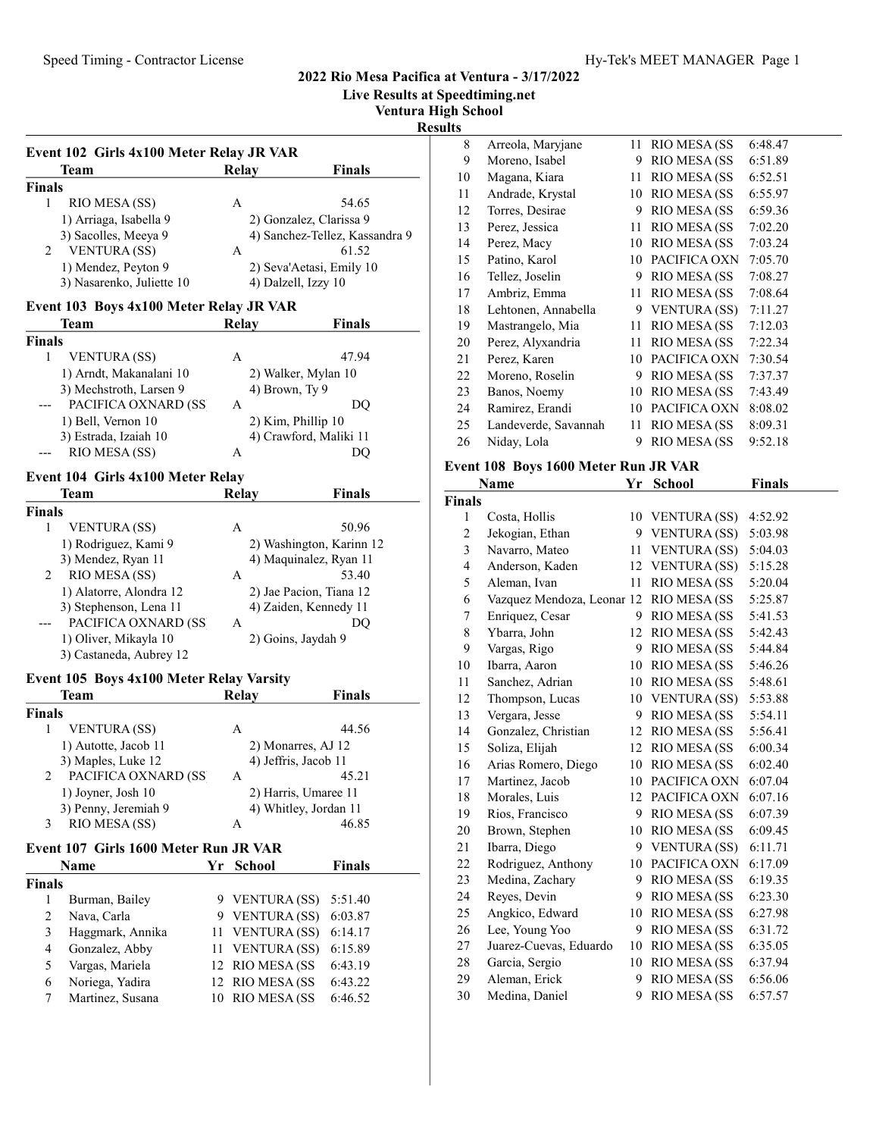# Speed Timing - Contractor License Hy-Tek's MEET MANAGER Page 1

# 2022 Rio Mesa Pacifica at Ventura - 3/17/2022

Live Results at Speedtiming.net

Ventura High School

Results

| Event 102 Girls 4x100 Meter Relay JR VAR |                    |                                |
|------------------------------------------|--------------------|--------------------------------|
| Team                                     | Relay              | Finals                         |
| <b>Finals</b>                            |                    |                                |
| 1<br>RIO MESA (SS)                       | A                  | 54.65                          |
| 1) Arriaga, Isabella 9                   |                    | 2) Gonzalez, Clarissa 9        |
| 3) Sacolles, Meeya 9                     |                    | 4) Sanchez-Tellez, Kassandra 9 |
| 2<br><b>VENTURA</b> (SS)                 | A                  | 61.52                          |
| 1) Mendez, Peyton 9                      |                    | 2) Seva'Aetasi, Emily 10       |
| 3) Nasarenko, Juliette 10                |                    | 4) Dalzell, Izzy 10            |
| Event 103 Boys 4x100 Meter Relay JR VAR  |                    |                                |
| Team                                     | <b>Relay</b>       | <b>Finals</b>                  |
| <b>Finals</b>                            |                    |                                |
| 1<br><b>VENTURA</b> (SS)                 | A                  | 47.94                          |
| 1) Arndt, Makanalani 10                  |                    | 2) Walker, Mylan 10            |
| 3) Mechstroth, Larsen 9                  |                    | 4) Brown, Ty 9                 |
| PACIFICA OXNARD (SS                      | A                  | DQ                             |
| 1) Bell, Vernon 10                       |                    | 2) Kim, Phillip 10             |
| 3) Estrada, Izaiah 10                    |                    | 4) Crawford, Maliki 11         |
| RIO MESA (SS)                            | A                  | DQ                             |
| Event 104 Girls 4x100 Meter Relay        |                    |                                |
| Team                                     | <b>Relay</b>       | Finals                         |
| <b>Finals</b>                            |                    |                                |
| 1<br><b>VENTURA (SS)</b>                 | A                  | 50.96                          |
| 1) Rodriguez, Kami 9                     |                    | 2) Washington, Karinn 12       |
| 3) Mendez, Ryan 11                       |                    | 4) Maquinalez, Ryan 11         |
| RIO MESA (SS)<br>2                       | А                  | 53.40                          |
| 1) Alatorre, Alondra 12                  |                    | 2) Jae Pacion, Tiana 12        |
| 3) Stephenson, Lena 11                   |                    | 4) Zaiden, Kennedy 11          |
| PACIFICA OXNARD (SS                      | A                  | DQ                             |
| 1) Oliver, Mikayla 10                    |                    | 2) Goins, Jaydah 9             |
| 3) Castaneda, Aubrey 12                  |                    |                                |
| Event 105 Boys 4x100 Meter Relay Varsity |                    |                                |
| Team                                     | <b>Relay</b>       | Finals                         |
| <b>Finals</b>                            |                    |                                |
| 1<br><b>VENTURA</b> (SS)                 | A                  | 44.56                          |
| 1) Autotte, Jacob 11                     |                    | 2) Monarres, AJ 12             |
| 3) Maples, Luke 12                       |                    | 4) Jeffris, Jacob 11           |
| PACIFICA OXNARD (SS<br>2                 | A                  | 45.21                          |
| 1) Joyner, Josh 10                       |                    | 2) Harris, Umaree 11           |
| 3) Penny, Jeremiah 9                     |                    | 4) Whitley, Jordan 11          |
| RIO MESA (SS)<br>3                       | А                  | 46.85                          |
| Event 107 Girls 1600 Meter Run JR VAR    |                    |                                |
| Name                                     | Yr<br>School       | <b>Finals</b>                  |
| <b>Finals</b>                            |                    |                                |
| 1<br>Burman, Bailey                      | 9 VENTURA (SS)     | 5:51.40                        |
| $\overline{c}$<br>Nava, Carla            | 9 VENTURA (SS)     | 6:03.87                        |
| 3<br>Haggmark, Annika                    | 11                 | <b>VENTURA (SS)</b><br>6:14.17 |
| Gonzalez, Abby<br>$\overline{4}$         | 11                 | <b>VENTURA (SS)</b><br>6:15.89 |
| 5<br>Vargas, Mariela                     | 12 RIO MESA (SS    | 6:43.19                        |
| Noriega, Yadira<br>6                     | 12                 | 6:43.22<br><b>RIO MESA (SS</b> |
| Martinez, Susana<br>7                    | RIO MESA (SS<br>10 | 6:46.52                        |
|                                          |                    |                                |
|                                          |                    |                                |

| 8  | Arreola, Maryjane    | 11 | <b>RIO MESA (SS</b> | 6:48.47 |
|----|----------------------|----|---------------------|---------|
| 9  | Moreno, Isabel       | 9  | RIO MESA (SS        | 6:51.89 |
| 10 | Magana, Kiara        | 11 | RIO MESA (SS        | 6:52.51 |
| 11 | Andrade, Krystal     | 10 | <b>RIO MESA (SS</b> | 6:55.97 |
| 12 | Torres, Desirae      | 9  | RIO MESA (SS        | 6:59.36 |
| 13 | Perez, Jessica       | 11 | RIO MESA (SS        | 7:02.20 |
| 14 | Perez, Macy          | 10 | RIO MESA (SS        | 7:03.24 |
| 15 | Patino, Karol        | 10 | PACIFICA OXN        | 7:05.70 |
| 16 | Tellez, Joselin      | 9  | RIO MESA (SS        | 7:08.27 |
| 17 | Ambriz, Emma         | 11 | RIO MESA (SS        | 7:08.64 |
| 18 | Lehtonen, Annabella  | 9  | <b>VENTURA</b> (SS) | 7:11.27 |
| 19 | Mastrangelo, Mia     | 11 | RIO MESA (SS        | 7:12.03 |
| 20 | Perez, Alyxandria    | 11 | RIO MESA (SS        | 7:22.34 |
| 21 | Perez, Karen         | 10 | PACIFICA OXN        | 7:30.54 |
| 22 | Moreno, Roselin      | 9  | RIO MESA (SS        | 7:37.37 |
| 23 | Banos, Noemy         | 10 | RIO MESA (SS        | 7:43.49 |
| 24 | Ramirez, Erandi      | 10 | PACIFICA OXN        | 8:08.02 |
| 25 | Landeverde, Savannah | 11 | RIO MESA (SS        | 8:09.31 |
| 26 | Niday, Lola          | 9  | <b>RIO MESA (SS</b> | 9:52.18 |
|    |                      |    |                     |         |

# Event 108 Boys 1600 Meter Run JR VAR

|               | Name                       | Yr | School               | <b>Finals</b> |
|---------------|----------------------------|----|----------------------|---------------|
| <b>Finals</b> |                            |    |                      |               |
| 1             | Costa, Hollis              |    | 10 VENTURA (SS)      | 4:52.92       |
| 2             | Jekogian, Ethan            | 9  | <b>VENTURA</b> (SS)  | 5:03.98       |
| 3             | Navarro, Mateo             | 11 | <b>VENTURA (SS)</b>  | 5:04.03       |
| 4             | Anderson, Kaden            | 12 | <b>VENTURA</b> (SS)  | 5:15.28       |
| 5             | Aleman, Ivan               | 11 | RIO MESA (SS         | 5:20.04       |
| 6             | Vazquez Mendoza, Leonar 12 |    | RIO MESA (SS         | 5:25.87       |
| 7             | Enriquez, Cesar            | 9  | RIO MESA (SS         | 5:41.53       |
| 8             | Ybarra, John               | 12 | RIO MESA (SS         | 5:42.43       |
| 9             | Vargas, Rigo               | 9  | RIO MESA (SS         | 5:44.84       |
| 10            | Ibarra, Aaron              | 10 | RIO MESA (SS         | 5:46.26       |
| 11            | Sanchez, Adrian            | 10 | RIO MESA (SS         | 5:48.61       |
| 12            | Thompson, Lucas            |    | 10 VENTURA (SS)      | 5:53.88       |
| 13            | Vergara, Jesse             | 9  | <b>RIO MESA (SS)</b> | 5:54.11       |
| 14            | Gonzalez, Christian        | 12 | RIO MESA (SS         | 5:56.41       |
| 15            | Soliza, Elijah             | 12 | RIO MESA (SS         | 6:00.34       |
| 16            | Arias Romero, Diego        | 10 | RIO MESA (SS         | 6:02.40       |
| 17            | Martinez, Jacob            | 10 | PACIFICA OXN         | 6:07.04       |
| 18            | Morales, Luis              | 12 | PACIFICA OXN         | 6:07.16       |
| 19            | Rios, Francisco            | 9  | RIO MESA (SS         | 6:07.39       |
| 20            | Brown, Stephen             | 10 | RIO MESA (SS         | 6:09.45       |
| 21            | Ibarra, Diego              | 9  | <b>VENTURA</b> (SS)  | 6:11.71       |
| 22            | Rodriguez, Anthony         | 10 | PACIFICA OXN         | 6:17.09       |
| 23            | Medina, Zachary            | 9  | RIO MESA (SS         | 6:19.35       |
| 24            | Reyes, Devin               | 9  | RIO MESA (SS         | 6:23.30       |
| 25            | Angkico, Edward            | 10 | RIO MESA (SS         | 6:27.98       |
| 26            | Lee, Young Yoo             | 9  | RIO MESA (SS         | 6:31.72       |
| 27            | Juarez-Cuevas, Eduardo     | 10 | RIO MESA (SS         | 6:35.05       |
| 28            | Garcia, Sergio             | 10 | RIO MESA (SS         | 6:37.94       |
| 29            | Aleman, Erick              | 9  | RIO MESA (SS         | 6:56.06       |
| 30            | Medina, Daniel             | 9  | RIO MESA (SS         | 6:57.57       |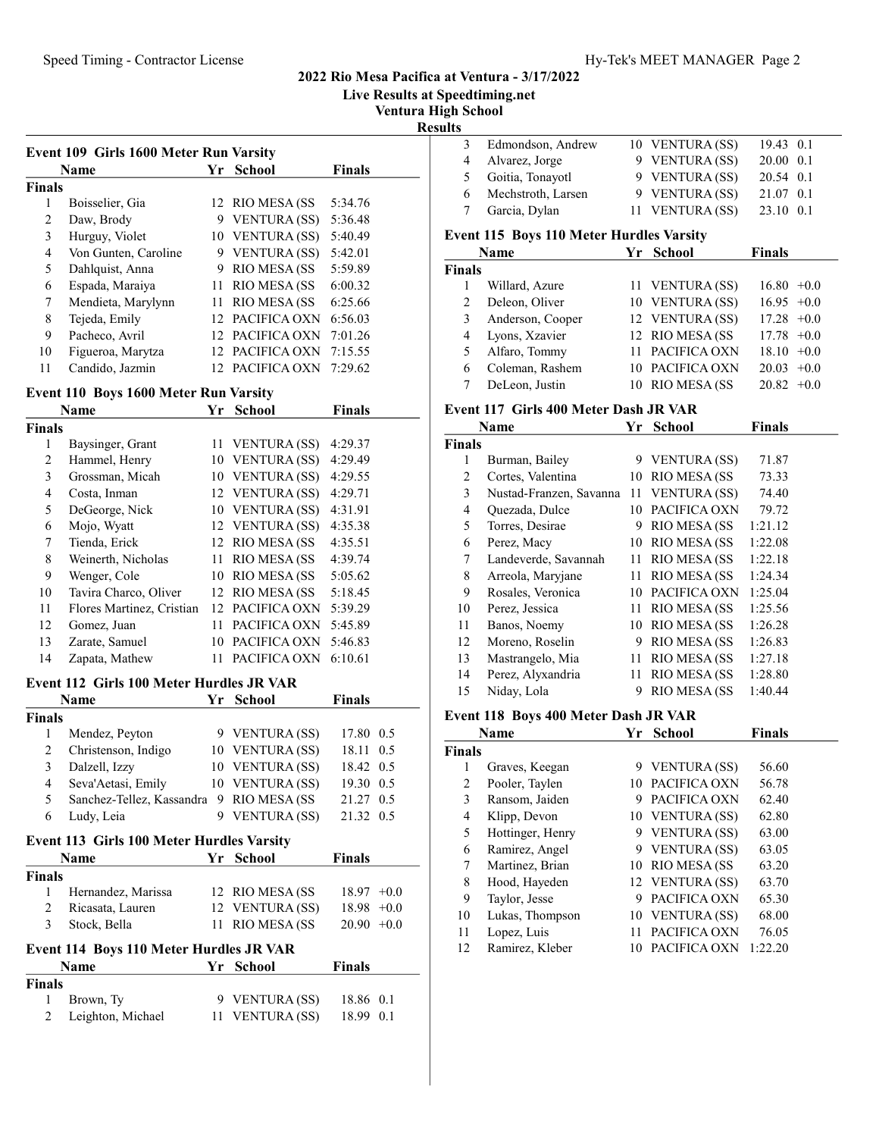Live Results at Speedtiming.net

Ventura High School

Results

|               | <b>Name</b>          | Yr           | School               | <b>Finals</b> |
|---------------|----------------------|--------------|----------------------|---------------|
| Finals        |                      |              |                      |               |
| 1             | Boisselier, Gia      |              | 12 RIO MESA (SS      | 5:34.76       |
| $\mathcal{L}$ | Daw, Brody           | 9            | VENTURA (SS)         | 5:36.48       |
| 3             | Hurguy, Violet       |              | 10 VENTURA (SS)      | 5:40.49       |
| 4             | Von Gunten, Caroline | 9            | VENTURA (SS)         | 5:42.01       |
| 5             | Dahlquist, Anna      | 9            | RIO MESA (SS         | 5:59.89       |
| 6             | Espada, Maraiya      | 11           | <b>RIO MESA (SS)</b> | 6:00.32       |
| 7             | Mendieta, Marylynn   | 11           | <b>RIO MESA (SS)</b> | 6:25.66       |
| 8             | Tejeda, Emily        | 12.          | PACIFICA OXN         | 6:56.03       |
| 9             | Pacheco, Avril       | $12^{\circ}$ | PACIFICA OXN         | 7:01.26       |
| 10            | Figueroa, Marytza    | 12.          | PACIFICA OXN         | 7:15.55       |
| 11            | Candido, Jazmin      |              | PACIFICA OXN         | 7:29.62       |

#### Event 110 Boys 1600 Meter Run Varsity

|                | Name                      | Yr | <b>School</b>       | Finals  |
|----------------|---------------------------|----|---------------------|---------|
| <b>Finals</b>  |                           |    |                     |         |
| 1              | Baysinger, Grant          | 11 | VENTURA (SS)        | 4:29.37 |
| $\overline{c}$ | Hammel, Henry             | 10 | VENTURA (SS)        | 4:29.49 |
| 3              | Grossman, Micah           | 10 | <b>VENTURA</b> (SS) | 4:29.55 |
| 4              | Costa, Inman              |    | 12 VENTURA (SS)     | 4:29.71 |
| 5              | DeGeorge, Nick            |    | 10 VENTURA (SS)     | 4:31.91 |
| 6              | Mojo, Wyatt               |    | 12 VENTURA (SS)     | 4:35.38 |
| 7              | Tienda, Erick             |    | 12 RIO MESA (SS)    | 4:35.51 |
| 8              | Weinerth, Nicholas        | 11 | RIO MESA (SS        | 4:39.74 |
| 9              | Wenger, Cole              | 10 | RIO MESA (SS        | 5:05.62 |
| 10             | Tavira Charco, Oliver     |    | 12 RIO MESA (SS     | 5:18.45 |
| 11             | Flores Martinez, Cristian | 12 | PACIFICA OXN        | 5:39.29 |
| 12             | Gomez, Juan               | 11 | PACIFICA OXN        | 5:45.89 |
| 13             | Zarate, Samuel            | 10 | PACIFICA OXN        | 5:46.83 |
| 14             | Zapata, Mathew            |    | PACIFICA OXN        | 6:10.61 |

#### Event 112 Girls 100 Meter Hurdles JR VAR

|        | <b>Name</b>                              |   | Yr School           | <b>Finals</b> |
|--------|------------------------------------------|---|---------------------|---------------|
| Finals |                                          |   |                     |               |
|        | Mendez, Peyton                           |   | 9 VENTURA (SS)      | 17.80 0.5     |
|        | Christenson, Indigo                      |   | 10 VENTURA (SS)     | 18.11 0.5     |
|        | Dalzell, Izzy                            |   | 10 VENTURA (SS)     | 18.42 0.5     |
| 4      | Seva'Aetasi, Emily                       |   | 10 VENTURA (SS)     | 19.30 0.5     |
| 5.     | Sanchez-Tellez, Kassandra 9 RIO MESA (SS |   |                     | 21.27<br>0.5  |
|        | Ludy, Leia                               | 9 | <b>VENTURA</b> (SS) | 21.32<br>0.5  |

#### Event 113 Girls 100 Meter Hurdles Varsity

|        | <b>Name</b>                                    | Yr School        | <b>Finals</b> |
|--------|------------------------------------------------|------------------|---------------|
| Finals |                                                |                  |               |
|        | Hernandez, Marissa                             | 12 RIO MESA (SS) | $18.97 +0.0$  |
|        | Ricasata, Lauren                               | 12 VENTURA (SS)  | $18.98 + 0.0$ |
|        | Stock, Bella                                   | 11 RIO MESA (SS  | $20.90 + 0.0$ |
|        | <b>Event 114 Boys 110 Meter Hurdles JR VAR</b> |                  |               |
|        | <b>Name</b>                                    | <b>Yr</b> School | <b>Finals</b> |

| гчаше             |  | г шагэ                                         |
|-------------------|--|------------------------------------------------|
| Finals            |  |                                                |
| Brown, Ty         |  | 18.86 0.1                                      |
| Leighton, Michael |  | 18.99 0.1                                      |
|                   |  | тт эсноог<br>9 VENTURA (SS)<br>11 VENTURA (SS) |

| uts |                                                 |                                                  |                      |
|-----|-------------------------------------------------|--------------------------------------------------|----------------------|
|     | Edmondson, Andrew                               | 10 VENTURA (SS)                                  | 19.43 0.1            |
| 4   | Alvarez, Jorge                                  | 9 VENTURA (SS)                                   | 20.00 0.1            |
| 5.  | Goitia, Tonayotl                                | 9 VENTURA (SS)                                   | 20.54 0.1            |
| 6   | Mechstroth, Larsen                              | 9 VENTURA (SS)                                   | 21.07 0.1            |
|     | 7 Garcia, Dylan                                 | 11 VENTURA (SS)                                  | 23.10 0.1            |
|     | <b>Event 115 Boys 110 Meter Hurdles Varsity</b> |                                                  |                      |
|     | $\mathbf{N}$ and $\mathbf{A}$                   | $V_{\rm eff}$ $C_{\rm eff}$ $\sim$ $V_{\rm eff}$ | $\Gamma$ : $\sim$ 1. |

#### Name **Finals Property** School **Finals Finals**<br>1 Willard, Azure 1 Willard, Azure 11 VENTURA (SS)  $16.80 +0.0$ 2 Deleon, Oliver 10 VENTURA (SS)  $16.95 +0.0$ 3 Anderson, Cooper 12 VENTURA (SS) 17.28 +0.0 4 Lyons, Xzavier 12 RIO MESA (SS 17.78 +0.0 5 Alfaro, Tommy 11 PACIFICA OXN 18.10 +0.0 6 Coleman, Rashem 10 PACIFICA OXN 20.03 +0.0<br>
7 DeLeon, Justin 10 RIO MESA (SS 20.82 +0.0 10 RIO MESA (SS  $20.82 +0.0$

#### Event 117 Girls 400 Meter Dash JR VAR

|                      | Yr             | <b>School</b>           | Finals                         |
|----------------------|----------------|-------------------------|--------------------------------|
|                      |                |                         |                                |
| Burman, Bailey       |                |                         | 71.87                          |
| Cortes, Valentina    | 10             |                         | 73.33                          |
|                      | 11             | <b>VENTURA</b> (SS)     | 74.40                          |
| Quezada, Dulce       | 10             | PACIFICA OXN            | 79.72                          |
| Torres, Desirae      | 9              | <b>RIO MESA (SS)</b>    | 1:21.12                        |
| Perez, Macy          | 10             | RIO MESA (SS            | 1:22.08                        |
| Landeverde, Savannah | 11             | RIO MESA (SS            | 1:22.18                        |
| Arreola, Maryjane    | 11             | RIO MESA (SS            | 1:24.34                        |
| Rosales, Veronica    | 10             | PACIFICA OXN            | 1:25.04                        |
| Perez, Jessica       | 11             | <b>RIO MESA (SS)</b>    | 1:25.56                        |
| Banos, Noemy         | 10             | RIO MESA (SS            | 1:26.28                        |
| Moreno, Roselin      | 9              | RIO MESA (SS            | 1:26.83                        |
| Mastrangelo, Mia     | 11             | RIO MESA (SS            | 1:27.18                        |
| Perez, Alyxandria    | 11             | RIO MESA (SS            | 1:28.80                        |
| Niday, Lola          | 9              | RIO MESA (SS            | 1:40.44                        |
|                      | Name<br>Finals | Nustad-Franzen, Savanna | 9 VENTURA (SS)<br>RIO MESA (SS |

#### Event 118 Boys 400 Meter Dash JR VAR

|        | Name             | Yr | <b>School</b>   | Finals  |
|--------|------------------|----|-----------------|---------|
| Finals |                  |    |                 |         |
| 1      | Graves, Keegan   |    | 9 VENTURA (SS)  | 56.60   |
| 2      | Pooler, Taylen   | 10 | PACIFICA OXN    | 56.78   |
| 3      | Ransom, Jaiden   | 9  | PACIFICA OXN    | 62.40   |
| 4      | Klipp, Devon     |    | 10 VENTURA (SS) | 62.80   |
| 5      | Hottinger, Henry | 9  | VENTURA (SS)    | 63.00   |
| 6      | Ramirez, Angel   | 9  | VENTURA (SS)    | 63.05   |
| 7      | Martinez, Brian  |    | 10 RIO MESA (SS | 63.20   |
| 8      | Hood, Hayeden    |    | 12 VENTURA (SS) | 63.70   |
| 9      | Taylor, Jesse    | 9  | PACIFICA OXN    | 65.30   |
| 10     | Lukas, Thompson  |    | 10 VENTURA (SS) | 68.00   |
| 11     | Lopez, Luis      |    | PACIFICA OXN    | 76.05   |
| 12     | Ramirez, Kleber  |    | PACIFICA OXN    | 1:22.20 |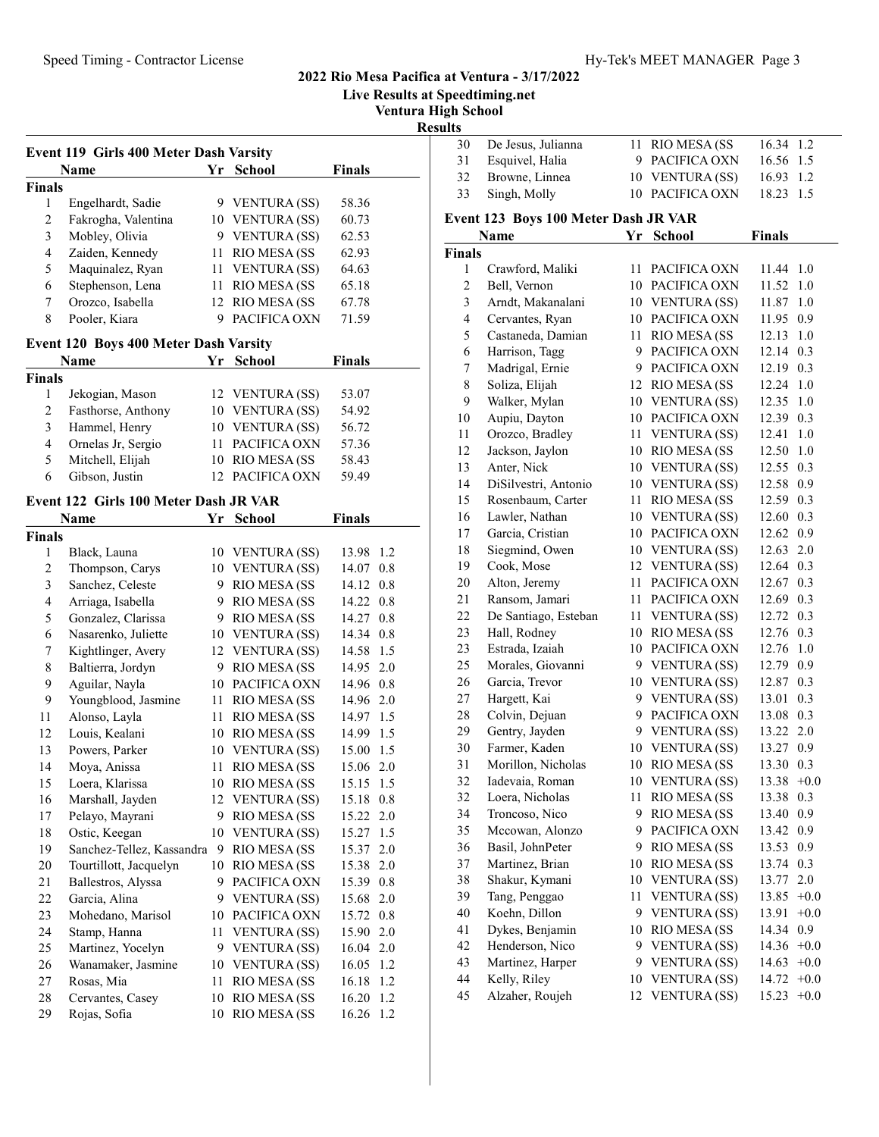# Speed Timing - Contractor License Hy-Tek's MEET MANAGER Page 3

| <b>Finals</b><br>58.36<br>60.73<br>62.53<br>62.93<br>64.63<br>65.18<br>67.78<br>71.59<br><b>Finals</b><br>53.07 | <b>Live Results at Speedtiming.net</b><br><b>Ventura High School</b><br><b>Results</b><br>De Jesus, Julianna<br>30<br>31<br>Esquivel, Halia<br>32<br>Browne, Linnea<br>33<br>Singh, Molly<br>Event 123 Boys 100 Meter Dash JR VAR<br>Name<br><b>Finals</b><br>Crawford, Maliki<br>$\mathbf{1}$<br>$\overline{c}$<br>Bell, Vernon<br>3<br>Arndt, Makanalani<br>$\overline{\mathbf{4}}$<br>Cervantes, Ryan<br>5<br>Castaneda, Damian<br>6<br>Harrison, Tagg | 11 RIO MESA (SS<br>9 PACIFICA OXN<br>10 VENTURA (SS)<br>10 PACIFICA OXN<br>Yr School<br>11 PACIFICA OXN<br>10 PACIFICA OXN<br>10 VENTURA (SS)<br>10 PACIFICA OXN<br>11 RIO MESA (SS |
|-----------------------------------------------------------------------------------------------------------------|-----------------------------------------------------------------------------------------------------------------------------------------------------------------------------------------------------------------------------------------------------------------------------------------------------------------------------------------------------------------------------------------------------------------------------------------------------------|-------------------------------------------------------------------------------------------------------------------------------------------------------------------------------------|
|                                                                                                                 |                                                                                                                                                                                                                                                                                                                                                                                                                                                           |                                                                                                                                                                                     |
|                                                                                                                 |                                                                                                                                                                                                                                                                                                                                                                                                                                                           |                                                                                                                                                                                     |
|                                                                                                                 |                                                                                                                                                                                                                                                                                                                                                                                                                                                           |                                                                                                                                                                                     |
|                                                                                                                 |                                                                                                                                                                                                                                                                                                                                                                                                                                                           |                                                                                                                                                                                     |
|                                                                                                                 |                                                                                                                                                                                                                                                                                                                                                                                                                                                           |                                                                                                                                                                                     |
|                                                                                                                 |                                                                                                                                                                                                                                                                                                                                                                                                                                                           |                                                                                                                                                                                     |
|                                                                                                                 |                                                                                                                                                                                                                                                                                                                                                                                                                                                           |                                                                                                                                                                                     |
|                                                                                                                 |                                                                                                                                                                                                                                                                                                                                                                                                                                                           |                                                                                                                                                                                     |
|                                                                                                                 |                                                                                                                                                                                                                                                                                                                                                                                                                                                           |                                                                                                                                                                                     |
|                                                                                                                 |                                                                                                                                                                                                                                                                                                                                                                                                                                                           |                                                                                                                                                                                     |
|                                                                                                                 |                                                                                                                                                                                                                                                                                                                                                                                                                                                           |                                                                                                                                                                                     |
|                                                                                                                 |                                                                                                                                                                                                                                                                                                                                                                                                                                                           |                                                                                                                                                                                     |
|                                                                                                                 |                                                                                                                                                                                                                                                                                                                                                                                                                                                           |                                                                                                                                                                                     |
|                                                                                                                 |                                                                                                                                                                                                                                                                                                                                                                                                                                                           |                                                                                                                                                                                     |
|                                                                                                                 |                                                                                                                                                                                                                                                                                                                                                                                                                                                           |                                                                                                                                                                                     |
|                                                                                                                 |                                                                                                                                                                                                                                                                                                                                                                                                                                                           |                                                                                                                                                                                     |
|                                                                                                                 |                                                                                                                                                                                                                                                                                                                                                                                                                                                           | 9 PACIFICA OXN                                                                                                                                                                      |
|                                                                                                                 | 7<br>Madrigal, Ernie                                                                                                                                                                                                                                                                                                                                                                                                                                      | 9 PACIFICA OXN                                                                                                                                                                      |
|                                                                                                                 | 8<br>Soliza, Elijah                                                                                                                                                                                                                                                                                                                                                                                                                                       | 12 RIO MESA (SS                                                                                                                                                                     |
|                                                                                                                 | 9<br>Walker, Mylan                                                                                                                                                                                                                                                                                                                                                                                                                                        | 10 VENTURA (SS)                                                                                                                                                                     |
| 54.92                                                                                                           | Aupiu, Dayton<br>10                                                                                                                                                                                                                                                                                                                                                                                                                                       | 10 PACIFICA OXN                                                                                                                                                                     |
| 56.72                                                                                                           | Orozco, Bradley<br>11                                                                                                                                                                                                                                                                                                                                                                                                                                     | 11 VENTURA (SS)                                                                                                                                                                     |
| 57.36                                                                                                           | 12<br>Jackson, Jaylon                                                                                                                                                                                                                                                                                                                                                                                                                                     | 10 RIO MESA (SS                                                                                                                                                                     |
| 58.43                                                                                                           | 13<br>Anter, Nick                                                                                                                                                                                                                                                                                                                                                                                                                                         | 10 VENTURA (SS)                                                                                                                                                                     |
| 59.49                                                                                                           | 14<br>DiSilvestri, Antonio                                                                                                                                                                                                                                                                                                                                                                                                                                | 10 VENTURA (SS)                                                                                                                                                                     |
|                                                                                                                 | 15<br>Rosenbaum, Carter                                                                                                                                                                                                                                                                                                                                                                                                                                   | 11 RIO MESA (SS                                                                                                                                                                     |
| <b>Finals</b>                                                                                                   | 16<br>Lawler, Nathan                                                                                                                                                                                                                                                                                                                                                                                                                                      | 10 VENTURA (SS)                                                                                                                                                                     |
|                                                                                                                 | 17<br>Garcia, Cristian                                                                                                                                                                                                                                                                                                                                                                                                                                    | 10 PACIFICA OXN                                                                                                                                                                     |
|                                                                                                                 | 18<br>Siegmind, Owen                                                                                                                                                                                                                                                                                                                                                                                                                                      | 10 VENTURA (SS)                                                                                                                                                                     |
| 13.98 1.2                                                                                                       | 19<br>Cook, Mose                                                                                                                                                                                                                                                                                                                                                                                                                                          | 12 VENTURA (SS)                                                                                                                                                                     |
| 14.07 0.8                                                                                                       | 20<br>Alton, Jeremy                                                                                                                                                                                                                                                                                                                                                                                                                                       | PACIFICA OXN<br>11                                                                                                                                                                  |
| 14.12 0.8                                                                                                       | Ransom, Jamari<br>21                                                                                                                                                                                                                                                                                                                                                                                                                                      | 11 PACIFICA OXN                                                                                                                                                                     |
| 14.22 0.8                                                                                                       | 22<br>De Santiago, Esteban                                                                                                                                                                                                                                                                                                                                                                                                                                |                                                                                                                                                                                     |
| 14.27 0.8                                                                                                       |                                                                                                                                                                                                                                                                                                                                                                                                                                                           | 11 VENTURA (SS)                                                                                                                                                                     |
| 14.34 0.8                                                                                                       | 23<br>Hall, Rodney                                                                                                                                                                                                                                                                                                                                                                                                                                        | 10 RIO MESA (SS                                                                                                                                                                     |
| 14.58 1.5                                                                                                       | 23<br>Estrada, Izaiah                                                                                                                                                                                                                                                                                                                                                                                                                                     | 10 PACIFICA OXN                                                                                                                                                                     |
| 14.95 2.0                                                                                                       | Morales, Giovanni<br>25                                                                                                                                                                                                                                                                                                                                                                                                                                   | 9 VENTURA (SS)                                                                                                                                                                      |
| 14.96 0.8                                                                                                       | 26<br>Garcia, Trevor                                                                                                                                                                                                                                                                                                                                                                                                                                      | 10 VENTURA (SS)                                                                                                                                                                     |
| 14.96 2.0                                                                                                       | $27\,$<br>Hargett, Kai                                                                                                                                                                                                                                                                                                                                                                                                                                    | 9 VENTURA (SS)                                                                                                                                                                      |
| 14.97 1.5                                                                                                       | $28\,$<br>Colvin, Dejuan                                                                                                                                                                                                                                                                                                                                                                                                                                  | 9 PACIFICA OXN                                                                                                                                                                      |
| 14.99 1.5                                                                                                       | 29<br>Gentry, Jayden                                                                                                                                                                                                                                                                                                                                                                                                                                      | 9 VENTURA (SS)                                                                                                                                                                      |
| 15.00 1.5                                                                                                       | 30<br>Farmer, Kaden                                                                                                                                                                                                                                                                                                                                                                                                                                       | 10 VENTURA (SS)                                                                                                                                                                     |
| 15.06 2.0                                                                                                       | 31<br>Morillon, Nicholas                                                                                                                                                                                                                                                                                                                                                                                                                                  | RIO MESA (SS<br>10                                                                                                                                                                  |
| 15.15 1.5                                                                                                       | 32<br>Iadevaia, Roman                                                                                                                                                                                                                                                                                                                                                                                                                                     | <b>VENTURA (SS)</b><br>10                                                                                                                                                           |
| 15.18 0.8                                                                                                       | 32<br>Loera, Nicholas                                                                                                                                                                                                                                                                                                                                                                                                                                     | <b>RIO MESA (SS</b><br>11                                                                                                                                                           |
| 15.22 2.0                                                                                                       | 34<br>Troncoso, Nico                                                                                                                                                                                                                                                                                                                                                                                                                                      | 9 RIO MESA (SS                                                                                                                                                                      |
| 15.27 1.5                                                                                                       | 35<br>Mccowan, Alonzo                                                                                                                                                                                                                                                                                                                                                                                                                                     | 9 PACIFICA OXN                                                                                                                                                                      |
| 15.37 2.0                                                                                                       | 36                                                                                                                                                                                                                                                                                                                                                                                                                                                        | 9 RIO MESA (SS                                                                                                                                                                      |
|                                                                                                                 | 37<br>Martinez, Brian                                                                                                                                                                                                                                                                                                                                                                                                                                     | 10 RIO MESA (SS                                                                                                                                                                     |
| 15.38 2.0                                                                                                       | 38<br>Shakur, Kymani                                                                                                                                                                                                                                                                                                                                                                                                                                      | 10 VENTURA (SS)                                                                                                                                                                     |
| 15.39 0.8                                                                                                       | 39<br>Tang, Penggao                                                                                                                                                                                                                                                                                                                                                                                                                                       | 11 VENTURA (SS)                                                                                                                                                                     |
|                                                                                                                 | 40<br>Koehn, Dillon                                                                                                                                                                                                                                                                                                                                                                                                                                       | 9 VENTURA (SS)                                                                                                                                                                      |
| 15.68 2.0                                                                                                       | 41<br>Dykes, Benjamin                                                                                                                                                                                                                                                                                                                                                                                                                                     | 10 RIO MESA (SS                                                                                                                                                                     |
| 15.72 0.8                                                                                                       |                                                                                                                                                                                                                                                                                                                                                                                                                                                           | 9 VENTURA (SS)                                                                                                                                                                      |
| 15.90 2.0                                                                                                       |                                                                                                                                                                                                                                                                                                                                                                                                                                                           | 9 VENTURA (SS)                                                                                                                                                                      |
| 16.04 2.0                                                                                                       |                                                                                                                                                                                                                                                                                                                                                                                                                                                           | VENTURA (SS)<br>10                                                                                                                                                                  |
| 16.05 1.2                                                                                                       |                                                                                                                                                                                                                                                                                                                                                                                                                                                           | 12 VENTURA (SS)                                                                                                                                                                     |
| 16.18 1.2<br>16.20 1.2                                                                                          | 44<br>Kelly, Riley<br>Alzaher, Roujeh<br>45                                                                                                                                                                                                                                                                                                                                                                                                               |                                                                                                                                                                                     |
|                                                                                                                 |                                                                                                                                                                                                                                                                                                                                                                                                                                                           | Basil, JohnPeter<br>42<br>Henderson, Nico<br>43<br>Martinez, Harper                                                                                                                 |

| 30                    | De Jesus, Julianna                   | 11       | RIO MESA (SS                        | 16.34              | 1.2        |
|-----------------------|--------------------------------------|----------|-------------------------------------|--------------------|------------|
| 31                    | Esquivel, Halia                      | 9        | PACIFICA OXN                        | 16.56              | 1.5        |
| 32                    | Browne, Linnea                       |          | 10 VENTURA (SS)                     | 16.93              | 1.2        |
| 33                    | Singh, Molly                         |          | 10 PACIFICA OXN                     | 18.23              | 1.5        |
|                       |                                      |          |                                     |                    |            |
|                       | Event 123 Boys 100 Meter Dash JR VAR |          |                                     |                    |            |
|                       | Name                                 | Yr       | School                              | <b>Finals</b>      |            |
| Finals                |                                      |          |                                     |                    |            |
| 1                     | Crawford, Maliki                     | 11       | PACIFICA OXN                        | 11.44 1.0          |            |
| $\overline{c}$        | Bell, Vernon                         |          | 10 PACIFICA OXN                     | 11.52              | 1.0        |
| 3<br>$\overline{4}$   | Arndt, Makanalani                    |          | 10 VENTURA (SS)<br>10 PACIFICA OXN  | 11.87              | 1.0        |
|                       | Cervantes, Ryan                      |          |                                     | 11.95              | 0.9<br>1.0 |
| 5                     | Castaneda, Damian                    | 11<br>9. | <b>RIO MESA (SS</b><br>PACIFICA OXN | 12.13<br>12.14 0.3 |            |
| 6<br>$\boldsymbol{7}$ | Harrison, Tagg                       |          | 9 PACIFICA OXN                      |                    |            |
|                       | Madrigal, Ernie                      |          |                                     | 12.19 0.3          |            |
| 8                     | Soliza, Elijah                       |          | 12 RIO MESA (SS                     | 12.24              | 1.0        |
| 9                     | Walker, Mylan<br>Aupiu, Dayton       |          | 10 VENTURA (SS)<br>10 PACIFICA OXN  | 12.35              | 1.0        |
| 10<br>11              | Orozco, Bradley                      |          |                                     | 12.39 0.3          | 1.0        |
| 12                    | Jackson, Jaylon                      |          | 11 VENTURA (SS)<br>10 RIO MESA (SS  | 12.41              | $1.0\,$    |
| 13                    | Anter, Nick                          |          |                                     | 12.50              |            |
| 14                    | DiSilvestri, Antonio                 |          | 10 VENTURA (SS)                     | 12.55 0.3          |            |
| 15                    |                                      |          | 10 VENTURA (SS)<br>RIO MESA (SS     | 12.58 0.9<br>12.59 | 0.3        |
| 16                    | Rosenbaum, Carter<br>Lawler, Nathan  | 11       | 10 VENTURA (SS)                     | 12.60              | 0.3        |
| 17                    | Garcia, Cristian                     |          | 10 PACIFICA OXN                     | 12.62 0.9          |            |
| 18                    | Siegmind, Owen                       |          | 10 VENTURA (SS)                     | 12.63              | 2.0        |
| 19                    | Cook, Mose                           |          | 12 VENTURA (SS)                     | 12.64 0.3          |            |
| 20                    | Alton, Jeremy                        |          | 11 PACIFICA OXN                     | 12.67              | 0.3        |
| 21                    | Ransom, Jamari                       | 11       | PACIFICA OXN                        | 12.69 0.3          |            |
| 22                    | De Santiago, Esteban                 |          | 11 VENTURA (SS)                     | 12.72 0.3          |            |
| 23                    | Hall, Rodney                         |          | 10 RIO MESA (SS                     | 12.76              | 0.3        |
| 23                    | Estrada, Izaiah                      |          | 10 PACIFICA OXN                     | 12.76              | 1.0        |
| 25                    | Morales, Giovanni                    |          | 9 VENTURA (SS)                      | 12.79 0.9          |            |
| 26                    | Garcia, Trevor                       |          | 10 VENTURA (SS)                     | 12.87 0.3          |            |
| $27\,$                | Hargett, Kai                         |          | 9 VENTURA (SS)                      | 13.01              | 0.3        |
| 28                    | Colvin, Dejuan                       | 9        | PACIFICA OXN                        | 13.08 0.3          |            |
| 29                    | Gentry, Jayden                       |          | 9 VENTURA (SS)                      | 13.22 2.0          |            |
| 30                    | Farmer, Kaden                        | 10       | VENTURA (SS)                        | 13.27 0.9          |            |
| 31                    | Morillon, Nicholas                   |          | 10 RIO MESA (SS                     | 13.30 0.3          |            |
| 32                    | Iadevaia, Roman                      |          | 10 VENTURA (SS)                     | 13.38              | $+0.0$     |
| 32                    | Loera, Nicholas                      | 11       | RIO MESA (SS                        | 13.38              | 0.3        |
| 34                    | Troncoso, Nico                       | 9.       | RIO MESA (SS                        | 13.40              | 0.9        |
| 35                    | Mccowan, Alonzo                      |          | 9 PACIFICA OXN                      | 13.42              | 0.9        |
| 36                    | Basil, JohnPeter                     |          | 9 RIO MESA (SS                      | 13.53              | 0.9        |
| 37                    | Martinez, Brian                      |          | 10 RIO MESA (SS                     | 13.74              | 0.3        |
| 38                    | Shakur, Kymani                       |          | 10 VENTURA (SS)                     | 13.77              | 2.0        |
| 39                    | Tang, Penggao                        | 11       | VENTURA (SS)                        | 13.85              | $+0.0$     |
| 40                    | Koehn, Dillon                        |          | 9 VENTURA (SS)                      | 13.91              | $+0.0$     |
| 41                    | Dykes, Benjamin                      |          | 10 RIO MESA (SS                     | 14.34              | 0.9        |
| 42                    | Henderson, Nico                      |          | 9 VENTURA (SS)                      | 14.36              | $+0.0$     |
| 43                    | Martinez, Harper                     |          | 9 VENTURA (SS)                      | 14.63              | $+0.0$     |
| 44                    | Kelly, Riley                         |          | 10 VENTURA (SS)                     | 14.72              | $+0.0$     |
| 45                    | Alzaher, Roujeh                      |          | 12 VENTURA (SS)                     | 15.23              | $+0.0$     |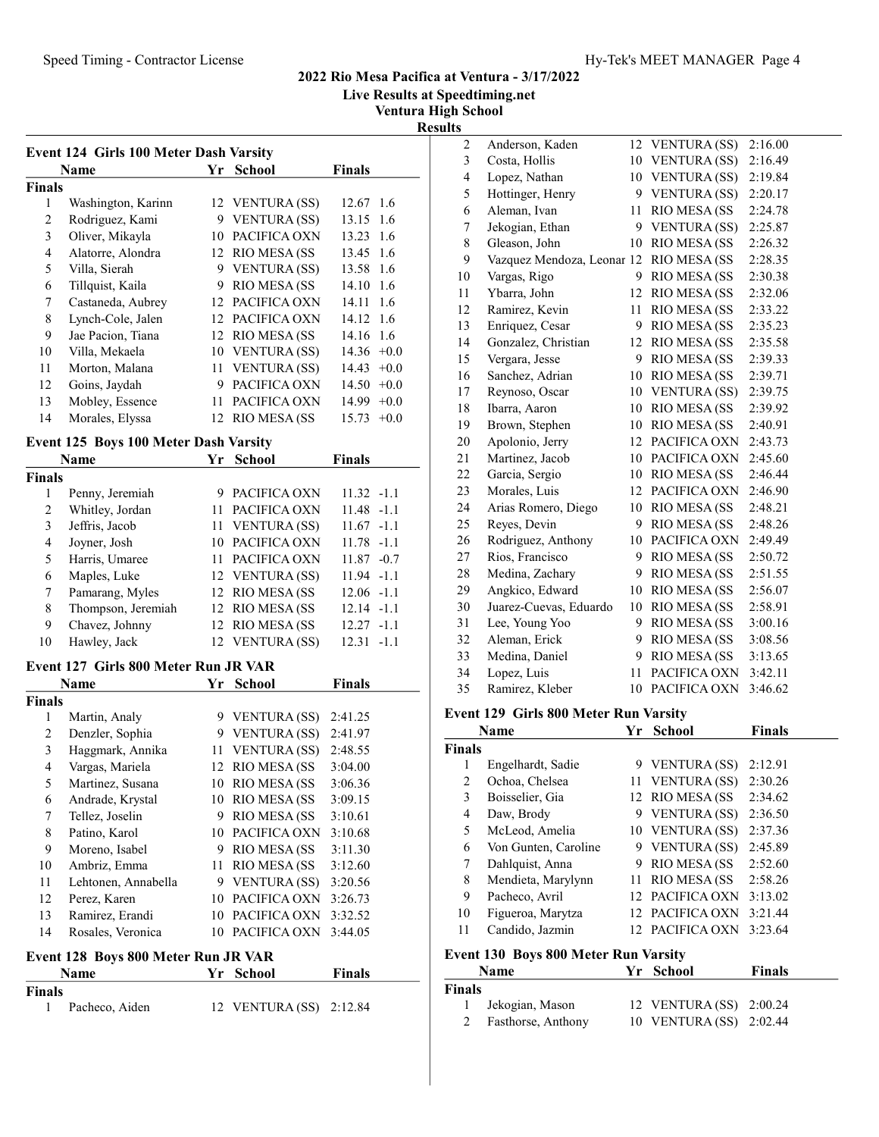#### Speed Timing - Contractor License **Hy-Tek's MEET MANAGER** Page 4

# 2022 Rio Mesa Pacifica at Ventura - 3/17/2022

Live Results at Speedtiming.net

Ventura High School

Results

|                | Name               | Yr | School              | <b>Finals</b>     |
|----------------|--------------------|----|---------------------|-------------------|
| Finals         |                    |    |                     |                   |
| 1              | Washington, Karinn |    | 12 VENTURA (SS)     | 12.67 1.6         |
| $\overline{c}$ | Rodriguez, Kami    | 9  | <b>VENTURA (SS)</b> | 13.15 1.6         |
| 3              | Oliver, Mikayla    | 10 | PACIFICA OXN        | 13.23 1.6         |
| 4              | Alatorre, Alondra  |    | 12 RIO MESA (SS)    | 13.45 1.6         |
| 5              | Villa, Sierah      | 9  | <b>VENTURA</b> (SS) | 13.58 1.6         |
| 6              | Tillquist, Kaila   | 9  | RIO MESA (SS        | 14.10 1.6         |
| 7              | Castaneda, Aubrey  | 12 | PACIFICA OXN        | $14.11 \quad 1.6$ |
| 8              | Lynch-Cole, Jalen  | 12 | PACIFICA OXN        | 14.12 1.6         |
| 9              | Jae Pacion, Tiana  |    | 12 RIO MESA (SS     | 14.16 1.6         |
| 10             | Villa, Mekaela     |    | 10 VENTURA (SS)     | $14.36 +0.0$      |
| 11             | Morton, Malana     |    | 11 VENTURA (SS)     | 14.43<br>$+0.0$   |
| 12             | Goins, Jaydah      | 9  | PACIFICA OXN        | $14.50 +0.0$      |
| 13             | Mobley, Essence    | 11 | PACIFICA OXN        | 14.99<br>$+0.0$   |
| 14             | Morales, Elyssa    |    | 12 RIO MESA (SS     | 15.73<br>$+0.0$   |

# Event 125 Boys 100 Meter Dash Varsity

|        | Name               |    | Yr School       | <b>Finals</b>   |
|--------|--------------------|----|-----------------|-----------------|
| Finals |                    |    |                 |                 |
|        | Penny, Jeremiah    | 9. | PACIFICA OXN    | $11.32 - 1.1$   |
| 2      | Whitley, Jordan    |    | PACIFICA OXN    | $11.48 - 1.1$   |
| 3      | Jeffris, Jacob     |    | 11 VENTURA (SS) | $11.67 - 1.1$   |
| 4      | Joyner, Josh       |    | 10 PACIFICA OXN | $11.78 - 1.1$   |
| 5      | Harris, Umaree     |    | 11 PACIFICA OXN | $11.87 - 0.7$   |
| 6      | Maples, Luke       |    | 12 VENTURA (SS) | $11.94 - 1.1$   |
| 7      | Pamarang, Myles    |    | 12 RIO MESA (SS | $12.06 - 1.1$   |
| 8      | Thompson, Jeremiah |    | 12 RIO MESA (SS | $12.14 - 1.1$   |
| 9      | Chavez, Johnny     |    | 12 RIO MESA (SS | $12.27 - 1.1$   |
| 10     | Hawley, Jack       |    | 12 VENTURA (SS) | 12.31<br>$-1.1$ |

# Event 127 Girls 800 Meter Run JR VAR

| Name           |                     | Yr | <b>School</b>        | <b>Finals</b> |
|----------------|---------------------|----|----------------------|---------------|
| Finals         |                     |    |                      |               |
| 1              | Martin, Analy       | 9  | VENTURA (SS)         | 2:41.25       |
| $\overline{c}$ | Denzler, Sophia     | 9  | <b>VENTURA</b> (SS)  | 2:41.97       |
| 3              | Haggmark, Annika    | 11 | <b>VENTURA</b> (SS)  | 2:48.55       |
| 4              | Vargas, Mariela     | 12 | <b>RIO MESA (SS)</b> | 3:04.00       |
| 5              | Martinez, Susana    | 10 | RIO MESA (SS         | 3:06.36       |
| 6              | Andrade, Krystal    | 10 | <b>RIO MESA (SS)</b> | 3:09.15       |
| 7              | Tellez, Joselin     | 9  | RIO MESA (SS         | 3:10.61       |
| 8              | Patino, Karol       | 10 | PACIFICA OXN         | 3:10.68       |
| 9              | Moreno, Isabel      | 9  | RIO MESA (SS         | 3:11.30       |
| 10             | Ambriz, Emma        | 11 | RIO MESA (SS         | 3:12.60       |
| 11             | Lehtonen, Annabella | 9  | <b>VENTURA</b> (SS)  | 3:20.56       |
| 12             | Perez, Karen        | 10 | PACIFICA OXN         | 3:26.73       |
| 13             | Ramirez, Erandi     | 10 | PACIFICA OXN         | 3:32.52       |
| 14             | Rosales, Veronica   | 10 | PACIFICA OXN         | 3:44.05       |

#### Event 128 Boys 800 Meter Run JR VAR

| <b>Name</b>   |                | Yr School               | <b>Finals</b> |  |
|---------------|----------------|-------------------------|---------------|--|
| <b>Finals</b> |                |                         |               |  |
|               | Pacheco, Aiden | 12 VENTURA (SS) 2:12.84 |               |  |

| $\overline{2}$ | Anderson, Kaden            | 12 | <b>VENTURA (SS)</b> | 2:16.00 |
|----------------|----------------------------|----|---------------------|---------|
| 3              | Costa, Hollis              | 10 | <b>VENTURA (SS)</b> | 2:16.49 |
| $\overline{4}$ | Lopez, Nathan              | 10 | VENTURA (SS)        | 2:19.84 |
| 5              | Hottinger, Henry           | 9  | <b>VENTURA (SS)</b> | 2:20.17 |
| 6              | Aleman, Ivan               | 11 | RIO MESA (SS        | 2:24.78 |
| 7              | Jekogian, Ethan            | 9  | <b>VENTURA (SS)</b> | 2:25.87 |
| 8              | Gleason, John              | 10 | RIO MESA (SS        | 2:26.32 |
| 9              | Vazquez Mendoza, Leonar 12 |    | RIO MESA (SS        | 2:28.35 |
| 10             | Vargas, Rigo               | 9  | RIO MESA (SS        | 2:30.38 |
| 11             | Ybarra, John               | 12 | RIO MESA (SS        | 2:32.06 |
| 12             | Ramirez, Kevin             | 11 | RIO MESA (SS        | 2:33.22 |
| 13             | Enriquez, Cesar            | 9  | RIO MESA (SS        | 2:35.23 |
| 14             | Gonzalez, Christian        | 12 | RIO MESA (SS        | 2:35.58 |
| 15             | Vergara, Jesse             | 9  | RIO MESA (SS        | 2:39.33 |
| 16             | Sanchez, Adrian            | 10 | RIO MESA (SS        | 2:39.71 |
| 17             | Reynoso, Oscar             | 10 | <b>VENTURA (SS)</b> | 2:39.75 |
| 18             | Ibarra, Aaron              | 10 | RIO MESA (SS        | 2:39.92 |
| 19             | Brown, Stephen             | 10 | RIO MESA (SS        | 2:40.91 |
| 20             | Apolonio, Jerry            | 12 | PACIFICA OXN        | 2:43.73 |
| 21             | Martinez, Jacob            | 10 | PACIFICA OXN        | 2:45.60 |
| 22             | Garcia, Sergio             | 10 | RIO MESA (SS        | 2:46.44 |
| 23             | Morales, Luis              | 12 | PACIFICA OXN        | 2:46.90 |
| 24             | Arias Romero, Diego        | 10 | RIO MESA (SS        | 2:48.21 |
| 25             | Reyes, Devin               | 9  | RIO MESA (SS        | 2:48.26 |
| 26             | Rodriguez, Anthony         | 10 | PACIFICA OXN        | 2:49.49 |
| 27             | Rios, Francisco            | 9  | RIO MESA (SS        | 2:50.72 |
| 28             | Medina, Zachary            | 9  | RIO MESA (SS        | 2:51.55 |
| 29             | Angkico, Edward            | 10 | RIO MESA (SS        | 2:56.07 |
| 30             | Juarez-Cuevas, Eduardo     | 10 | RIO MESA (SS        | 2:58.91 |
| 31             | Lee, Young Yoo             | 9  | RIO MESA (SS        | 3:00.16 |
| 32             | Aleman, Erick              | 9  | RIO MESA (SS        | 3:08.56 |
| 33             | Medina, Daniel             | 9  | RIO MESA (SS        | 3:13.65 |
| 34             | Lopez, Luis                | 11 | PACIFICA OXN        | 3:42.11 |
| 35             | Ramirez, Kleber            | 10 | PACIFICA OXN        | 3:46.62 |

# Event 129 Girls 800 Meter Run Varsity

| Name   |                      | Yr  | <b>School</b>       | <b>Finals</b> |
|--------|----------------------|-----|---------------------|---------------|
| Finals |                      |     |                     |               |
| 1      | Engelhardt, Sadie    |     | 9 VENTURA (SS)      | 2:12.91       |
| 2      | Ochoa, Chelsea       |     | 11 VENTURA (SS)     | 2:30.26       |
| 3      | Boisselier, Gia      |     | 12 RIO MESA (SS     | 2:34.62       |
| 4      | Daw, Brody           | 9.  | VENTURA (SS)        | 2:36.50       |
| 5      | McLeod, Amelia       |     | 10 VENTURA (SS)     | 2:37.36       |
| 6      | Von Gunten, Caroline |     | 9 VENTURA (SS)      | 2:45.89       |
| 7      | Dahlquist, Anna      | 9   | <b>RIO MESA (SS</b> | 2:52.60       |
| 8      | Mendieta, Marylynn   |     | 11 RIO MESA (SS     | 2:58.26       |
| 9      | Pacheco, Avril       | 12. | PACIFICA OXN        | 3:13.02       |
| 10     | Figueroa, Marytza    |     | 12 PACIFICA OXN     | 3:21.44       |
| 11     | Candido, Jazmin      |     | PACIFICA OXN        | 3:23.64       |
|        |                      |     |                     |               |

# Event 130 Boys 800 Meter Run Varsity

|               | <b>Name</b>        | Yr School               | <b>Finals</b> |
|---------------|--------------------|-------------------------|---------------|
| <b>Finals</b> |                    |                         |               |
| $\mathbf{1}$  | Jekogian, Mason    | 12 VENTURA (SS) 2:00.24 |               |
| 2             | Fasthorse, Anthony | 10 VENTURA (SS) 2:02.44 |               |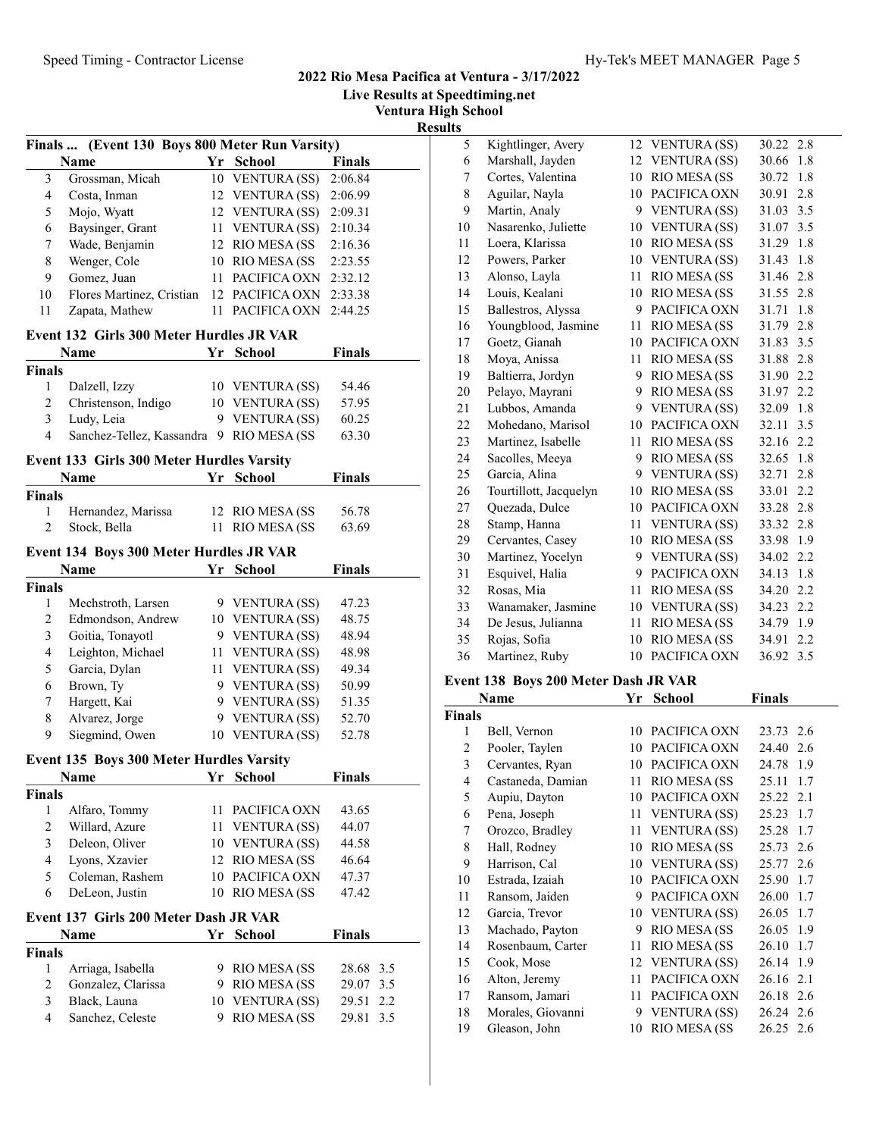Live Results at Speedtiming.net

Ventura High School

Results

|                                 | Finals  (Event 130 Boys 800 Meter Run Varsity) |    |                                 |                | тезиі      |
|---------------------------------|------------------------------------------------|----|---------------------------------|----------------|------------|
|                                 | Name                                           |    | Yr School                       | <b>Finals</b>  |            |
| $\mathfrak{Z}$                  | Grossman, Micah                                |    | 10 VENTURA (SS)                 | 2:06.84        |            |
| 4                               | Costa, Inman                                   |    | 12 VENTURA (SS)                 | 2:06.99        |            |
| 5                               | Mojo, Wyatt                                    |    | 12 VENTURA (SS)                 | 2:09.31        |            |
| 6                               | Baysinger, Grant                               |    | 11 VENTURA (SS)                 | 2:10.34        |            |
| 7                               | Wade, Benjamin                                 |    | 12 RIO MESA (SS                 | 2:16.36        |            |
| 8                               | Wenger, Cole                                   |    | 10 RIO MESA (SS                 | 2:23.55        |            |
| 9                               | Gomez, Juan                                    |    | 11 PACIFICA OXN                 | 2:32.12        |            |
| 10                              | Flores Martinez, Cristian 12 PACIFICA OXN      |    |                                 | 2:33.38        |            |
| 11                              | Zapata, Mathew                                 |    | 11 PACIFICA OXN                 | 2:44.25        |            |
|                                 | Event 132 Girls 300 Meter Hurdles JR VAR       |    |                                 |                |            |
|                                 | Name                                           |    | Yr School                       | <b>Finals</b>  |            |
| <b>Finals</b>                   |                                                |    |                                 |                |            |
| 1                               | Dalzell, Izzy                                  |    | 10 VENTURA (SS)                 | 54.46          |            |
| 2                               | Christenson, Indigo                            |    | 10 VENTURA (SS)                 | 57.95          |            |
| 3                               | Ludy, Leia                                     |    | 9 VENTURA (SS)                  | 60.25          |            |
| 4                               | Sanchez-Tellez, Kassandra 9 RIO MESA (SS       |    |                                 | 63.30          |            |
|                                 | Event 133 Girls 300 Meter Hurdles Varsity      |    |                                 |                |            |
|                                 | Name                                           | Yr | <b>School</b>                   | <b>Finals</b>  |            |
| <b>Finals</b>                   |                                                |    |                                 |                |            |
| 1                               | Hernandez, Marissa                             |    | 12 RIO MESA (SS)                | 56.78          |            |
| $\overline{c}$                  | Stock, Bella                                   | 11 | <b>RIO MESA (SS</b>             | 63.69          |            |
|                                 | Event 134 Boys 300 Meter Hurdles JR VAR        |    |                                 |                |            |
|                                 | <b>Name</b>                                    |    | Yr School                       | Finals         |            |
| <b>Finals</b>                   |                                                |    |                                 |                |            |
| 1                               | Mechstroth, Larsen                             |    | 9 VENTURA (SS)                  | 47.23          |            |
| $\overline{c}$                  | Edmondson, Andrew                              |    | 10 VENTURA (SS)                 | 48.75          |            |
| 3                               | Goitia, Tonayotl                               |    | 9 VENTURA (SS)                  | 48.94          |            |
| $\overline{4}$                  | Leighton, Michael                              |    | 11 VENTURA (SS)                 | 48.98          |            |
| 5                               | Garcia, Dylan                                  |    | 11 VENTURA (SS)                 | 49.34          |            |
| 6                               | Brown, Ty                                      |    | 9 VENTURA (SS)                  | 50.99          |            |
| 7                               | Hargett, Kai                                   |    | 9 VENTURA (SS)                  | 51.35          |            |
| 8                               | Alvarez, Jorge                                 |    | 9 VENTURA (SS)                  | 52.70          |            |
| 9                               | Siegmind, Owen                                 |    | 10 VENTURA (SS)                 | 52.78          |            |
|                                 | Event 135 Boys 300 Meter Hurdles Varsity       |    |                                 |                |            |
|                                 | <b>Name</b>                                    | Yr | <b>School</b>                   | <b>Finals</b>  |            |
| <b>Finals</b>                   |                                                |    |                                 |                |            |
| 1                               | Alfaro, Tommy                                  |    | 11 PACIFICA OXN                 | 43.65          |            |
| $\mathbf{2}$                    | Willard, Azure                                 |    | 11 VENTURA (SS)                 | 44.07          |            |
| 3                               | Deleon, Oliver                                 |    | 10 VENTURA (SS)                 | 44.58          |            |
| $\overline{4}$                  | Lyons, Xzavier                                 |    | 12 RIO MESA (SS                 | 46.64          |            |
| 5                               | Coleman, Rashem                                |    | 10 PACIFICA OXN                 | 47.37          |            |
| 6                               | DeLeon, Justin                                 |    | 10 RIO MESA (SS                 | 47.42          |            |
|                                 |                                                |    |                                 |                |            |
|                                 | Event 137 Girls 200 Meter Dash JR VAR          | Yr |                                 | <b>Finals</b>  |            |
|                                 | Name                                           |    | School                          |                |            |
|                                 |                                                |    | 9 RIO MESA (SS                  | 28.68 3.5      |            |
|                                 |                                                |    |                                 |                |            |
| 1                               | Arriaga, Isabella                              |    |                                 |                |            |
| <b>Finals</b><br>$\overline{c}$ | Gonzalez, Clarissa                             |    | 9 RIO MESA (SS                  | 29.07          | 3.5        |
| 3<br>$\overline{4}$             | Black, Launa<br>Sanchez, Celeste               | 9  | 10 VENTURA (SS)<br>RIO MESA (SS | 29.51<br>29.81 | 2.2<br>3.5 |

| 5  | Kightlinger, Avery     | 12 | VENTURA (SS)        | 30.22 2.8    |
|----|------------------------|----|---------------------|--------------|
| 6  | Marshall, Jayden       | 12 | <b>VENTURA</b> (SS) | 30.66<br>1.8 |
| 7  | Cortes, Valentina      | 10 | RIO MESA (SS        | 30.72<br>1.8 |
| 8  | Aguilar, Nayla         | 10 | PACIFICA OXN        | 30.91<br>2.8 |
| 9  | Martin, Analy          | 9  | VENTURA (SS)        | 31.03<br>3.5 |
| 10 | Nasarenko, Juliette    | 10 | <b>VENTURA (SS)</b> | 31.07<br>3.5 |
| 11 | Loera, Klarissa        | 10 | RIO MESA (SS        | 31.29<br>1.8 |
| 12 | Powers, Parker         | 10 | <b>VENTURA</b> (SS) | 31.43<br>1.8 |
| 13 | Alonso, Layla          | 11 | RIO MESA (SS        | 31.46<br>2.8 |
| 14 | Louis, Kealani         | 10 | RIO MESA (SS        | 31.55<br>2.8 |
| 15 | Ballestros, Alyssa     | 9  | PACIFICA OXN        | 31.71<br>1.8 |
| 16 | Youngblood, Jasmine    | 11 | RIO MESA (SS        | 2.8<br>31.79 |
| 17 | Goetz, Gianah          | 10 | PACIFICA OXN        | 31.83<br>3.5 |
| 18 | Moya, Anissa           | 11 | RIO MESA (SS        | 2.8<br>31.88 |
| 19 | Baltierra, Jordyn      | 9  | RIO MESA (SS        | 2.2<br>31.90 |
| 20 | Pelayo, Mayrani        | 9  | RIO MESA (SS        | 2.2<br>31.97 |
| 21 | Lubbos, Amanda         | 9  | <b>VENTURA</b> (SS) | 32.09<br>1.8 |
| 22 | Mohedano, Marisol      | 10 | PACIFICA OXN        | 32.11<br>3.5 |
| 23 | Martinez, Isabelle     | 11 | RIO MESA (SS        | 2.2<br>32.16 |
| 24 | Sacolles, Meeya        | 9  | RIO MESA (SS        | 32.65<br>1.8 |
| 25 | Garcia, Alina          | 9  | <b>VENTURA</b> (SS) | 32.71<br>2.8 |
| 26 | Tourtillott, Jacquelyn | 10 | RIO MESA (SS        | 33.01<br>2.2 |
| 27 | Quezada, Dulce         | 10 | PACIFICA OXN        | 33.28<br>2.8 |
| 28 | Stamp, Hanna           | 11 | <b>VENTURA</b> (SS) | 33.32<br>2.8 |
| 29 | Cervantes, Casey       | 10 | RIO MESA (SS        | 1.9<br>33.98 |
| 30 | Martinez, Yocelyn      | 9  | <b>VENTURA (SS)</b> | 34.02<br>2.2 |
| 31 | Esquivel, Halia        | 9  | PACIFICA OXN        | 34.13<br>1.8 |
| 32 | Rosas, Mia             | 11 | RIO MESA (SS        | 34.20<br>2.2 |
| 33 | Wanamaker, Jasmine     | 10 | <b>VENTURA</b> (SS) | 34.23<br>2.2 |
| 34 | De Jesus, Julianna     | 11 | RIO MESA (SS        | 34.79<br>1.9 |
| 35 | Rojas, Sofia           | 10 | RIO MESA (SS        | 2.2<br>34.91 |
| 36 | Martinez, Ruby         | 10 | PACIFICA OXN        | 36.92<br>3.5 |
|    |                        |    |                     |              |

# Event 138 Boys 200 Meter Dash JR VAR

| Name           |                   | Yr | <b>School</b>       | <b>Finals</b> |
|----------------|-------------------|----|---------------------|---------------|
| Finals         |                   |    |                     |               |
| 1              | Bell, Vernon      | 10 | PACIFICA OXN        | 23.73 2.6     |
| $\overline{c}$ | Pooler, Taylen    | 10 | PACIFICA OXN        | 24.40<br>2.6  |
| 3              | Cervantes, Ryan   | 10 | PACIFICA OXN        | 24.78<br>1.9  |
| 4              | Castaneda, Damian | 11 | RIO MESA (SS        | 1.7<br>25.11  |
| 5              | Aupiu, Dayton     | 10 | PACIFICA OXN        | 25.22 2.1     |
| 6              | Pena, Joseph      | 11 | <b>VENTURA (SS)</b> | 1.7<br>25.23  |
| 7              | Orozco, Bradley   | 11 | <b>VENTURA</b> (SS) | 25.28<br>1.7  |
| 8              | Hall, Rodney      | 10 | RIO MESA (SS        | 25.73<br>2.6  |
| 9              | Harrison, Cal     | 10 | <b>VENTURA</b> (SS) | 25.77 2.6     |
| 10             | Estrada, Izaiah   | 10 | PACIFICA OXN        | 25.90<br>1.7  |
| 11             | Ransom, Jaiden    | 9  | PACIFICA OXN        | 26.00<br>1.7  |
| 12             | Garcia, Trevor    | 10 | <b>VENTURA (SS)</b> | 26.05<br>1.7  |
| 13             | Machado, Payton   | 9  | RIO MESA (SS        | 26.05<br>1.9  |
| 14             | Rosenbaum, Carter | 11 | RIO MESA (SS        | 26.10<br>1.7  |
| 15             | Cook, Mose        |    | 12 VENTURA (SS)     | 1.9<br>26.14  |
| 16             | Alton, Jeremy     | 11 | PACIFICA OXN        | 26.16<br>2.1  |
| 17             | Ransom, Jamari    | 11 | PACIFICA OXN        | 26.18 2.6     |
| 18             | Morales, Giovanni | 9  | <b>VENTURA</b> (SS) | 26.24 2.6     |
| 19             | Gleason, John     | 10 | RIO MESA (SS        | 26.25 2.6     |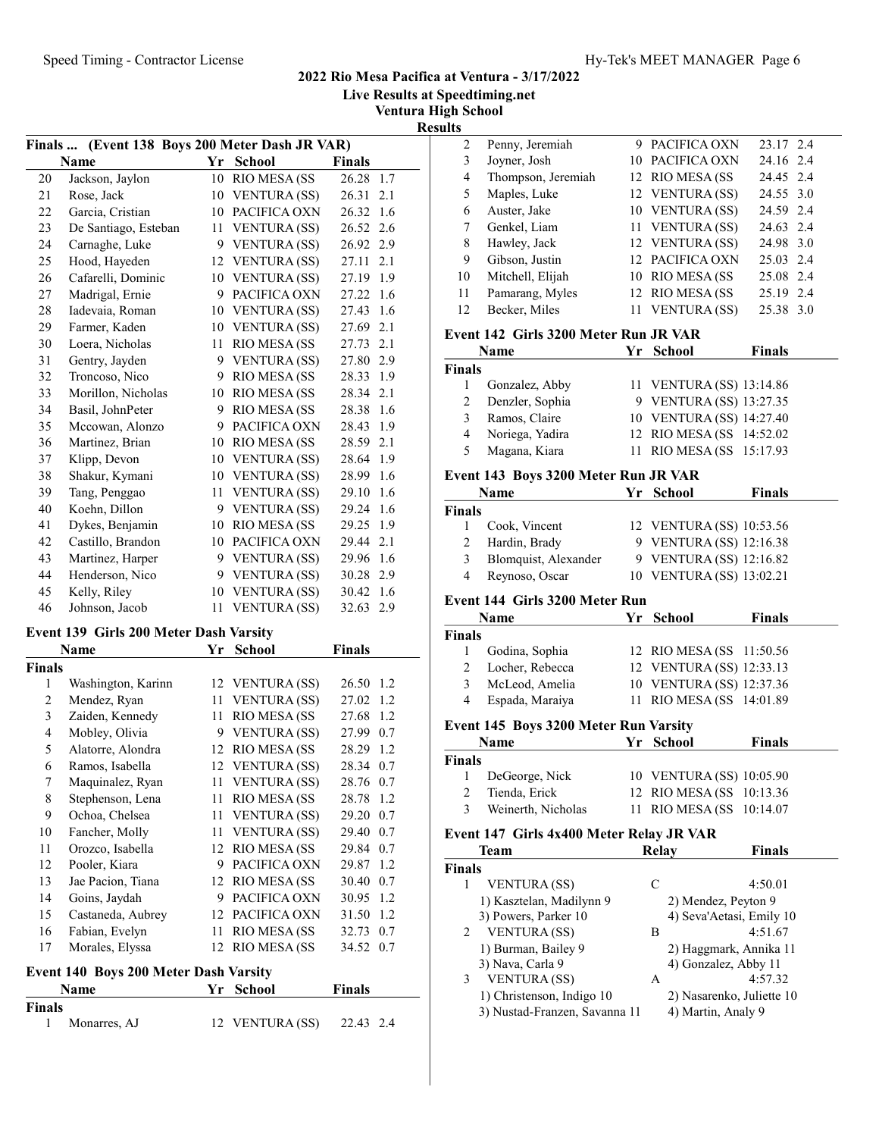Live Results at Speedtiming.net

Ventura High School

Results

| (Event 138 Boys 200 Meter Dash JR VAR)<br><b>Finals</b> |                      |    |                     |               |  |  |
|---------------------------------------------------------|----------------------|----|---------------------|---------------|--|--|
|                                                         | <b>Name</b>          | Yr | <b>School</b>       | <b>Finals</b> |  |  |
| 20                                                      | Jackson, Jaylon      | 10 | <b>RIO MESA (SS</b> | 26.28<br>1.7  |  |  |
| 21                                                      | Rose, Jack           | 10 | <b>VENTURA (SS)</b> | 26.31<br>2.1  |  |  |
| 22                                                      | Garcia, Cristian     |    | 10 PACIFICA OXN     | 26.32<br>1.6  |  |  |
| 23                                                      | De Santiago, Esteban | 11 | <b>VENTURA</b> (SS) | 26.52<br>2.6  |  |  |
| 24                                                      | Carnaghe, Luke       |    | 9 VENTURA (SS)      | 26.92<br>2.9  |  |  |
| 25                                                      | Hood, Hayeden        | 12 | <b>VENTURA</b> (SS) | 27.11<br>2.1  |  |  |
| 26                                                      | Cafarelli, Dominic   |    | 10 VENTURA (SS)     | 1.9<br>27.19  |  |  |
| 27                                                      | Madrigal, Ernie      | 9  | PACIFICA OXN        | 27.22<br>1.6  |  |  |
| 28                                                      | Iadevaia, Roman      |    | 10 VENTURA (SS)     | 27.43<br>1.6  |  |  |
| 29                                                      | Farmer, Kaden        | 10 | <b>VENTURA</b> (SS) | 27.69<br>2.1  |  |  |
| 30                                                      | Loera, Nicholas      | 11 | RIO MESA (SS        | 27.73<br>2.1  |  |  |
| 31                                                      | Gentry, Jayden       | 9  | <b>VENTURA (SS)</b> | 27.80<br>2.9  |  |  |
| 32                                                      | Troncoso, Nico       | 9  | <b>RIO MESA (SS</b> | 28.33<br>1.9  |  |  |
| 33                                                      | Morillon, Nicholas   | 10 | RIO MESA (SS        | 2.1<br>28.34  |  |  |
| 34                                                      | Basil, JohnPeter     | 9  | RIO MESA (SS        | 28.38<br>1.6  |  |  |
| 35                                                      | Mccowan, Alonzo      | 9  | PACIFICA OXN        | 28.43<br>1.9  |  |  |
| 36                                                      | Martinez, Brian      | 10 | RIO MESA (SS        | 28.59<br>2.1  |  |  |
| 37                                                      | Klipp, Devon         | 10 | <b>VENTURA</b> (SS) | 28.64<br>1.9  |  |  |
| 38                                                      | Shakur, Kymani       |    | 10 VENTURA (SS)     | 1.6<br>28.99  |  |  |
| 39                                                      | Tang, Penggao        | 11 | <b>VENTURA</b> (SS) | 29.10<br>1.6  |  |  |
| 40                                                      | Koehn, Dillon        | 9  | <b>VENTURA</b> (SS) | 29.24<br>1.6  |  |  |
| 41                                                      | Dykes, Benjamin      | 10 | RIO MESA (SS        | 29.25<br>1.9  |  |  |
| 42                                                      | Castillo, Brandon    |    | 10 PACIFICA OXN     | 29.44 2.1     |  |  |
| 43                                                      | Martinez, Harper     | 9  | <b>VENTURA</b> (SS) | 29.96<br>1.6  |  |  |
| 44                                                      | Henderson, Nico      | 9  | <b>VENTURA (SS)</b> | 30.28<br>2.9  |  |  |
| 45                                                      | Kelly, Riley         | 10 | <b>VENTURA (SS)</b> | 30.42<br>1.6  |  |  |
| 46                                                      | Johnson, Jacob       | 11 | <b>VENTURA (SS)</b> | 32.63<br>2.9  |  |  |
| <b>Event 130 Cirls 200 Meter Doch Varsity</b>           |                      |    |                     |               |  |  |

#### Event 139 Girls 200 Meter Dash Varsity

|                | Name               | Yr | School               | <b>Finals</b> |
|----------------|--------------------|----|----------------------|---------------|
| Finals         |                    |    |                      |               |
| 1              | Washington, Karinn |    | 12 VENTURA (SS)      | 26.50<br>1.2  |
| $\overline{c}$ | Mendez, Ryan       | 11 | <b>VENTURA</b> (SS)  | 27.02<br>1.2  |
| 3              | Zaiden, Kennedy    | 11 | RIO MESA (SS         | 27.68<br>1.2  |
| 4              | Mobley, Olivia     | 9  | VENTURA (SS)         | 27.99<br>0.7  |
| 5              | Alatorre, Alondra  |    | 12 RIO MESA (SS      | 28.29<br>1.2  |
| 6              | Ramos, Isabella    |    | 12 VENTURA (SS)      | 28.34<br>0.7  |
| 7              | Maquinalez, Ryan   | 11 | VENTURA (SS)         | 28.76<br>0.7  |
| 8              | Stephenson, Lena   | 11 | RIO MESA (SS         | 28.78<br>1.2  |
| 9              | Ochoa, Chelsea     | 11 | <b>VENTURA (SS)</b>  | 29.20<br>0.7  |
| 10             | Fancher, Molly     | 11 | <b>VENTURA (SS)</b>  | 29.40<br>0.7  |
| 11             | Orozco, Isabella   | 12 | <b>RIO MESA (SS</b>  | 29.84<br>0.7  |
| 12             | Pooler, Kiara      | 9  | PACIFICA OXN         | 29.87<br>1.2  |
| 13             | Jae Pacion, Tiana  | 12 | <b>RIO MESA (SS</b>  | 30.40<br>0.7  |
| 14             | Goins, Jaydah      | 9  | PACIFICA OXN         | 30.95<br>1.2  |
| 15             | Castaneda, Aubrey  | 12 | PACIFICA OXN         | 31.50<br>1.2  |
| 16             | Fabian, Evelyn     | 11 | <b>RIO MESA (SS)</b> | 32.73<br>0.7  |
| 17             | Morales, Elyssa    | 12 | <b>RIO MESA (SS</b>  | 34.52<br>0.7  |

# Event 140 Boys 200 Meter Dash Varsity

|               | <b>Name</b>  | Yr School       | <b>Finals</b> |
|---------------|--------------|-----------------|---------------|
| <b>Finals</b> |              |                 |               |
|               | Monarres, AJ | 12 VENTURA (SS) | 22.43 2.4     |

| . <del>.</del> |                    |                 |           |
|----------------|--------------------|-----------------|-----------|
| 2              | Penny, Jeremiah    | 9 PACIFICA OXN  | 23.17 2.4 |
| 3              | Joyner, Josh       | 10 PACIFICA OXN | 24.16 2.4 |
| 4              | Thompson, Jeremiah | 12 RIO MESA (SS | 24.45 2.4 |
| 5              | Maples, Luke       | 12 VENTURA (SS) | 24.55 3.0 |
| 6              | Auster, Jake       | 10 VENTURA (SS) | 24.59 2.4 |
|                | Genkel, Liam       | 11 VENTURA (SS) | 24.63 2.4 |
| 8              | Hawley, Jack       | 12 VENTURA (SS) | 24.98 3.0 |
| 9              | Gibson, Justin     | 12 PACIFICA OXN | 25.03 2.4 |
| 10             | Mitchell, Elijah   | 10 RIO MESA (SS | 25.08 2.4 |
| 11             | Pamarang, Myles    | 12 RIO MESA (SS | 25.19 2.4 |
| 12             | Becker, Miles      | 11 VENTURA (SS) | 25.38 3.0 |
|                |                    |                 |           |

#### Event 142 Girls 3200 Meter Run JR VAR

|               | Name            | Yr School                | <b>Finals</b> |
|---------------|-----------------|--------------------------|---------------|
| <b>Finals</b> |                 |                          |               |
|               | Gonzalez, Abby  | 11 VENTURA (SS) 13:14.86 |               |
|               | Denzler, Sophia | 9 VENTURA (SS) 13:27.35  |               |
| 3             | Ramos, Claire   | 10 VENTURA (SS) 14:27.40 |               |
| 4             | Noriega, Yadira | 12 RIO MESA (SS 14:52.02 |               |
|               | Magana, Kiara   | 11 RIO MESA (SS 15:17.93 |               |

# Event 143 Boys 3200 Meter Run JR VAR

|               | <b>Name</b>          | Yr School                | <b>Finals</b>            |
|---------------|----------------------|--------------------------|--------------------------|
| <b>Finals</b> |                      |                          |                          |
|               | Cook, Vincent        |                          | 12 VENTURA (SS) 10:53.56 |
| 2             | Hardin, Brady        | 9 VENTURA (SS) 12:16.38  |                          |
| 3             | Blomquist, Alexander | 9 VENTURA (SS) 12:16.82  |                          |
|               | Reynoso, Oscar       | 10 VENTURA (SS) 13:02.21 |                          |

# Event 144 Girls 3200 Meter Run

|        | <b>Name</b>                                  | Yr School                | <b>Finals</b> |  |
|--------|----------------------------------------------|--------------------------|---------------|--|
| Finals |                                              |                          |               |  |
|        | Godina, Sophia                               | 12 RIO MESA (SS 11:50.56 |               |  |
| 2      | Locher, Rebecca                              | 12 VENTURA (SS) 12:33.13 |               |  |
| 3      | McLeod, Amelia                               | 10 VENTURA (SS) 12:37.36 |               |  |
| 4      | Espada, Maraiya                              | 11 RIO MESA (SS 14:01.89 |               |  |
|        | <b>Event 145 Boys 3200 Meter Run Varsity</b> |                          |               |  |

# r 145 Boys 5200 Meter Kun varsity<br>Name Finals Tree School Finals Finals 1 DeGeorge, Nick 10 VENTURA (SS) 10:05.90 2 Tienda, Erick 12 RIO MESA (SS 10:13.36 3 Weinerth, Nicholas 11 RIO MESA (SS 10:14.07

#### Event 147 Girls 4x400 Meter Relay JR VAR

| Team                          | Relay | Finals                    |
|-------------------------------|-------|---------------------------|
| Finals                        |       |                           |
| <b>VENTURA</b> (SS)           | С     | 4:50.01                   |
| 1) Kasztelan, Madilynn 9      |       | 2) Mendez, Peyton 9       |
| 3) Powers, Parker 10          |       | 4) Seva'Aetasi, Emily 10  |
| <b>VENTURA</b> (SS)<br>2      | В     | 4:51.67                   |
| 1) Burman, Bailey 9           |       | 2) Haggmark, Annika 11    |
| 3) Nava, Carla 9              |       | 4) Gonzalez, Abby 11      |
| <b>VENTURA</b> (SS)<br>3      | Α     | 4:57.32                   |
| 1) Christenson, Indigo 10     |       | 2) Nasarenko, Juliette 10 |
| 3) Nustad-Franzen, Savanna 11 |       | 4) Martin, Analy 9        |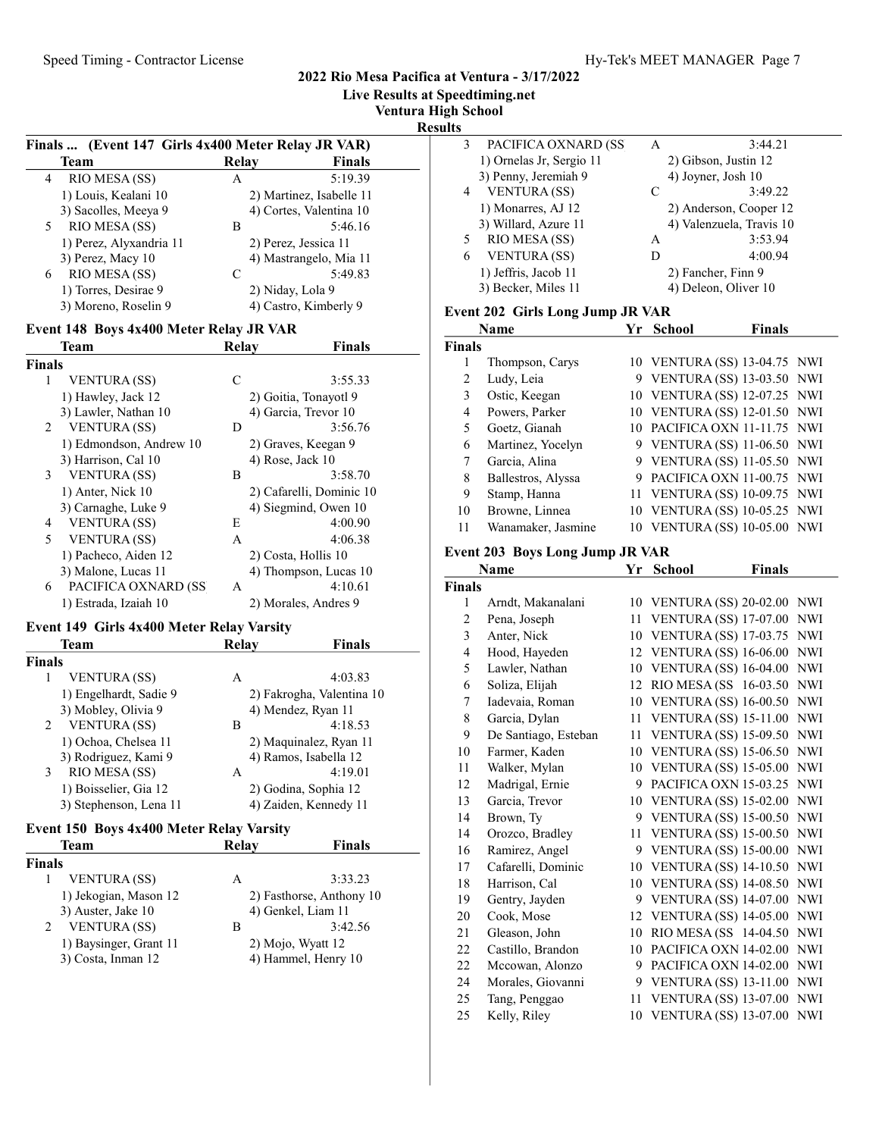Live Results at Speedtiming.net

Ventura High School

 $\frac{\text{Results}}{\frac{1}{3} \frac{P}{P}}$ 

|               | (Event 147 Girls 4x400 Meter Relay JR VAR)<br>Finals |              |                                               |
|---------------|------------------------------------------------------|--------------|-----------------------------------------------|
|               | Team                                                 | <b>Relay</b> | <b>Finals</b>                                 |
| 4             | RIO MESA (SS)                                        | A            | 5:19.39                                       |
|               | 1) Louis, Kealani 10                                 |              | 2) Martinez, Isabelle 11                      |
|               | 3) Sacolles, Meeya 9                                 |              | 4) Cortes, Valentina 10                       |
| 5             | RIO MESA (SS)                                        | В            | 5:46.16                                       |
|               | 1) Perez, Alyxandria 11                              |              | 2) Perez, Jessica 11                          |
|               | 3) Perez, Macy 10                                    |              | 4) Mastrangelo, Mia 11                        |
| 6             | RIO MESA (SS)                                        | C            | 5:49.83                                       |
|               | 1) Torres, Desirae 9                                 |              | 2) Niday, Lola 9                              |
|               | 3) Moreno, Roselin 9                                 |              | 4) Castro, Kimberly 9                         |
|               | Event 148 Boys 4x400 Meter Relay JR VAR              |              |                                               |
|               | Team                                                 | <b>Relay</b> | <b>Finals</b>                                 |
| <b>Finals</b> |                                                      |              |                                               |
| 1             | VENTURA (SS)                                         | С            | 3:55.33                                       |
|               |                                                      |              |                                               |
|               | 1) Hawley, Jack 12<br>3) Lawler, Nathan 10           |              | 2) Goitia, Tonayotl 9<br>4) Garcia, Trevor 10 |
|               |                                                      |              |                                               |
| 2             | <b>VENTURA (SS)</b>                                  | D            | 3:56.76                                       |
|               | 1) Edmondson, Andrew 10                              |              | 2) Graves, Keegan 9                           |
|               | 3) Harrison, Cal 10                                  |              | 4) Rose, Jack 10                              |
| 3             | <b>VENTURA (SS)</b>                                  | В            | 3:58.70                                       |
|               | 1) Anter, Nick 10                                    |              | 2) Cafarelli, Dominic 10                      |
|               | 3) Carnaghe, Luke 9                                  |              | 4) Siegmind, Owen 10                          |
| 4             | <b>VENTURA</b> (SS)                                  | Е            | 4:00.90                                       |
| 5             | VENTURA (SS)                                         | A            | 4:06.38                                       |
|               | 1) Pacheco, Aiden 12                                 |              | 2) Costa, Hollis 10                           |
|               | 3) Malone, Lucas 11                                  |              | 4) Thompson, Lucas 10                         |
| 6             | PACIFICA OXNARD (SS                                  | А            | 4:10.61                                       |
|               | 1) Estrada, Izaiah 10                                |              | 2) Morales, Andres 9                          |
|               | Event 149 Girls 4x400 Meter Relay Varsity            |              |                                               |
|               | Team                                                 | Relay        | <b>Finals</b>                                 |
| <b>Finals</b> |                                                      |              |                                               |
| 1             |                                                      |              | 4:03.83                                       |
|               | <b>VENTURA (SS)</b>                                  | A            |                                               |
|               | 1) Engelhardt, Sadie 9                               |              | 2) Fakrogha, Valentina 10                     |
|               | 3) Mobley, Olivia 9                                  |              | 4) Mendez, Ryan 11                            |
| 2             | VENTURA (SS)                                         | В            | 4:18.53                                       |
|               | 1) Ochoa, Chelsea 11                                 |              | 2) Maquinalez, Ryan 11                        |
|               | 3) Rodriguez, Kami 9                                 |              | 4) Ramos, Isabella 12                         |
| 3             | RIO MESA (SS)                                        | A            | 4:19.01                                       |
|               | 1) Boisselier, Gia 12                                |              | 2) Godina, Sophia 12                          |
|               | 3) Stephenson, Lena 11                               |              | 4) Zaiden, Kennedy 11                         |
|               | Event 150 Boys 4x400 Meter Relay Varsity             |              |                                               |
|               | Team                                                 | <b>Relay</b> | <b>Finals</b>                                 |
| <b>Finals</b> |                                                      |              |                                               |
| 1             | VENTURA (SS)                                         | A            | 3:33.23                                       |
|               | 1) Jekogian, Mason 12                                |              | 2) Fasthorse, Anthony 10                      |
|               | 3) Auster, Jake 10                                   |              | 4) Genkel, Liam 11                            |
| 2             | VENTURA (SS)                                         | В            | 3:42.56                                       |
|               |                                                      |              |                                               |
|               | 1) Baysinger, Grant 11                               |              | 2) Mojo, Wyatt 12                             |
|               | 3) Costa, Inman 12                                   |              | 4) Hammel, Henry 10                           |

|   | School                   |                      |         |  |
|---|--------------------------|----------------------|---------|--|
| 3 | PACIFICA OXNARD (SS)     | А                    | 3:44.21 |  |
|   | 1) Ornelas Jr, Sergio 11 | 2) Gibson, Justin 12 |         |  |
|   | 3) Penny, Jeremiah 9     | 4) Joyner, Josh 10   |         |  |
| 4 | <b>VENTURA (SS)</b>      |                      | 3:49.22 |  |

|                                         | V EIN I UNA (55)     |    | 3.47.22                  |  |  |
|-----------------------------------------|----------------------|----|--------------------------|--|--|
|                                         | 1) Monarres, AJ 12   |    | 2) Anderson, Cooper 12   |  |  |
|                                         | 3) Willard, Azure 11 |    | 4) Valenzuela, Travis 10 |  |  |
| 5                                       | RIO MESA (SS)        | Α  | 3:53.94                  |  |  |
| 6                                       | <b>VENTURA (SS)</b>  | I) | 4:00.94                  |  |  |
|                                         | 1) Jeffris, Jacob 11 |    | 2) Fancher, Finn 9       |  |  |
|                                         | 3) Becker, Miles 11  |    | 4) Deleon, Oliver 10     |  |  |
| <b>Event 202 Girls Long Jump JR VAR</b> |                      |    |                          |  |  |

|                | <b>Name</b>        | Yr School | <b>Finals</b>                |  |
|----------------|--------------------|-----------|------------------------------|--|
| <b>Finals</b>  |                    |           |                              |  |
| 1              | Thompson, Carys    |           | 10 VENTURA (SS) 13-04.75 NWI |  |
| $\overline{c}$ | Ludy, Leia         |           | 9 VENTURA (SS) 13-03.50 NWI  |  |
| 3              | Ostic, Keegan      |           | 10 VENTURA (SS) 12-07.25 NWI |  |
| 4              | Powers, Parker     |           | 10 VENTURA (SS) 12-01.50 NWI |  |
| 5              | Goetz, Gianah      |           | 10 PACIFICA OXN 11-11.75 NWI |  |
| 6              | Martinez, Yocelyn  |           | 9 VENTURA (SS) 11-06.50 NWI  |  |
| 7              | Garcia, Alina      |           | 9 VENTURA (SS) 11-05.50 NWI  |  |
| 8              | Ballestros, Alyssa |           | PACIFICA OXN 11-00.75 NWI    |  |
| 9              | Stamp, Hanna       |           | 11 VENTURA (SS) 10-09.75 NWI |  |
| 10             | Browne, Linnea     |           | 10 VENTURA (SS) 10-05.25 NWI |  |
| 11             | Wanamaker, Jasmine |           | 10 VENTURA (SS) 10-05.00 NWI |  |

# Event 203 Boys Long Jump JR VAR

|                | Name                 | Yr | <b>Finals</b><br><b>School</b> |            |
|----------------|----------------------|----|--------------------------------|------------|
| <b>Finals</b>  |                      |    |                                |            |
| 1              | Arndt, Makanalani    | 10 | <b>VENTURA (SS) 20-02.00</b>   | <b>NWI</b> |
| $\overline{2}$ | Pena, Joseph         | 11 | <b>VENTURA (SS) 17-07.00</b>   | <b>NWI</b> |
| 3              | Anter, Nick          | 10 | <b>VENTURA (SS) 17-03.75</b>   | <b>NWI</b> |
| $\overline{4}$ | Hood, Hayeden        | 12 | <b>VENTURA (SS) 16-06.00</b>   | <b>NWI</b> |
| 5              | Lawler, Nathan       | 10 | <b>VENTURA (SS) 16-04.00</b>   | <b>NWI</b> |
| 6              | Soliza, Elijah       | 12 | RIO MESA (SS 16-03.50          | <b>NWI</b> |
| 7              | Iadevaia, Roman      | 10 | <b>VENTURA (SS) 16-00.50</b>   | <b>NWI</b> |
| 8              | Garcia, Dylan        | 11 | <b>VENTURA (SS) 15-11.00</b>   | <b>NWI</b> |
| 9              | De Santiago, Esteban | 11 | <b>VENTURA (SS) 15-09.50</b>   | <b>NWI</b> |
| 10             | Farmer, Kaden        | 10 | <b>VENTURA (SS) 15-06.50</b>   | <b>NWI</b> |
| 11             | Walker, Mylan        | 10 | <b>VENTURA (SS) 15-05.00</b>   | NWI        |
| 12             | Madrigal, Ernie      | 9  | PACIFICA OXN 15-03.25          | <b>NWI</b> |
| 13             | Garcia, Trevor       | 10 | <b>VENTURA (SS) 15-02.00</b>   | <b>NWI</b> |
| 14             | Brown, Ty            | 9  | <b>VENTURA (SS) 15-00.50</b>   | <b>NWI</b> |
| 14             | Orozco, Bradley      | 11 | <b>VENTURA (SS) 15-00.50</b>   | <b>NWI</b> |
| 16             | Ramirez, Angel       | 9  | <b>VENTURA (SS) 15-00.00</b>   | <b>NWI</b> |
| 17             | Cafarelli, Dominic   | 10 | <b>VENTURA (SS) 14-10.50</b>   | <b>NWI</b> |
| 18             | Harrison, Cal        | 10 | <b>VENTURA (SS) 14-08.50</b>   | <b>NWI</b> |
| 19             | Gentry, Jayden       | 9  | <b>VENTURA (SS) 14-07.00</b>   | <b>NWI</b> |
| 20             | Cook, Mose           | 12 | <b>VENTURA (SS) 14-05.00</b>   | NWI        |
| 21             | Gleason, John        | 10 | RIO MESA (SS 14-04.50          | <b>NWI</b> |
| 22             | Castillo, Brandon    | 10 | PACIFICA OXN 14-02.00          | <b>NWI</b> |
| 22             | Mccowan, Alonzo      | 9  | PACIFICA OXN 14-02.00          | <b>NWI</b> |
| 24             | Morales, Giovanni    | 9  | <b>VENTURA (SS) 13-11.00</b>   | <b>NWI</b> |
| 25             | Tang, Penggao        | 11 | <b>VENTURA (SS) 13-07.00</b>   | <b>NWI</b> |
| 25             | Kelly, Riley         | 10 | <b>VENTURA (SS) 13-07.00</b>   | NWI        |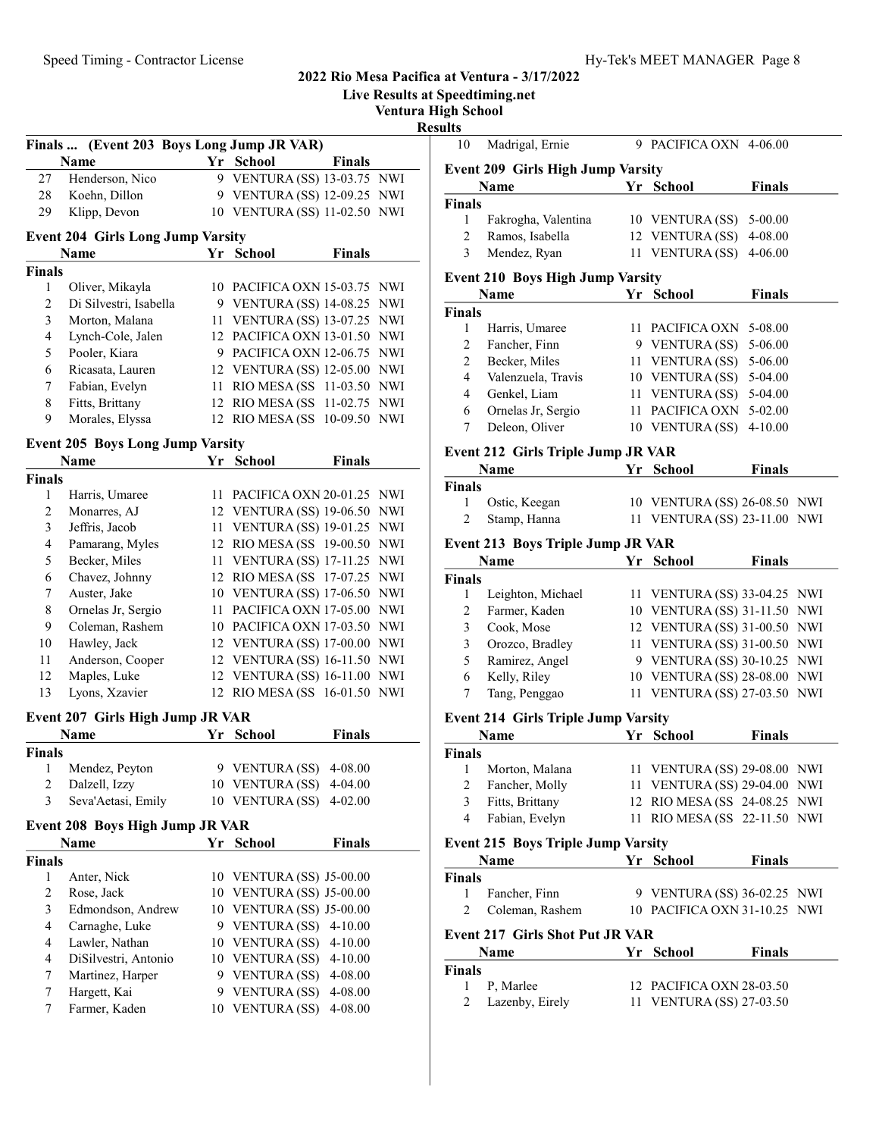|                          |                                           |                              |               | <b>Live Results at Speedtiming.net</b><br><b>Ventura High School</b> |                      |
|--------------------------|-------------------------------------------|------------------------------|---------------|----------------------------------------------------------------------|----------------------|
|                          | Finals  (Event 203 Boys Long Jump JR VAR) |                              |               | <b>Results</b><br>10                                                 | Madrigal,            |
|                          | Name                                      | Yr School                    | <b>Finals</b> |                                                                      |                      |
| 27                       | Henderson, Nico                           | 9 VENTURA (SS) 13-03.75 NWI  |               |                                                                      | Event 209 Girl       |
| 28                       | Koehn, Dillon                             | 9 VENTURA (SS) 12-09.25 NWI  |               |                                                                      | Name                 |
| 29                       | Klipp, Devon                              | 10 VENTURA (SS) 11-02.50 NWI |               | <b>Finals</b>                                                        |                      |
|                          |                                           |                              |               | 1                                                                    | Fakrogha             |
|                          | <b>Event 204 Girls Long Jump Varsity</b>  |                              |               | $\mathfrak{2}$                                                       | Ramos, Is            |
|                          | Name                                      | Yr School                    | <b>Finals</b> | $\overline{3}$                                                       | Mendez,              |
| <b>Finals</b>            |                                           |                              |               |                                                                      | Event 210 Boy        |
| $\mathbf{1}$             | Oliver, Mikayla                           | 10 PACIFICA OXN 15-03.75 NWI |               |                                                                      | Name                 |
| $\overline{c}$           | Di Silvestri, Isabella                    | 9 VENTURA (SS) 14-08.25 NWI  |               | <b>Finals</b>                                                        |                      |
| 3                        | Morton, Malana                            | 11 VENTURA (SS) 13-07.25 NWI |               | $\mathbf{1}$                                                         | Harris, U            |
| $\overline{\mathcal{L}}$ | Lynch-Cole, Jalen                         | 12 PACIFICA OXN 13-01.50 NWI |               | $\overline{c}$                                                       | Fancher,             |
| 5                        | Pooler, Kiara                             | 9 PACIFICA OXN 12-06.75 NWI  |               | $\overline{c}$                                                       | Becker, M            |
| 6                        | Ricasata, Lauren                          | 12 VENTURA (SS) 12-05.00 NWI |               | 4                                                                    | Valenzuel            |
| 7                        | Fabian, Evelyn                            | 11 RIO MESA (SS 11-03.50 NWI |               | 4                                                                    | Genkel, L            |
| 8                        | Fitts, Brittany                           | 12 RIO MESA (SS 11-02.75 NWI |               | 6                                                                    | Ornelas J            |
| 9                        | Morales, Elyssa                           | 12 RIO MESA (SS 10-09.50 NWI |               | 7                                                                    | Deleon, C            |
|                          | <b>Event 205 Boys Long Jump Varsity</b>   |                              |               |                                                                      |                      |
|                          | <b>Name</b>                               | Yr School                    | <b>Finals</b> |                                                                      | Event 212 Girl       |
| <b>Finals</b>            |                                           |                              |               | <b>Finals</b>                                                        | Name                 |
| 1                        | Harris, Umaree                            | 11 PACIFICA OXN 20-01.25 NWI |               | 1                                                                    | Ostic, Ke            |
| $\overline{c}$           | Monarres, AJ                              | 12 VENTURA (SS) 19-06.50 NWI |               | $\overline{2}$                                                       |                      |
| 3                        | Jeffris, Jacob                            | 11 VENTURA (SS) 19-01.25 NWI |               |                                                                      | Stamp, H             |
| $\overline{\mathbf{4}}$  | Pamarang, Myles                           | 12 RIO MESA (SS 19-00.50 NWI |               |                                                                      | <b>Event 213 Boy</b> |
| 5                        | Becker, Miles                             | 11 VENTURA (SS) 17-11.25 NWI |               |                                                                      | Name                 |
| 6                        | Chavez, Johnny                            | 12 RIO MESA (SS 17-07.25 NWI |               | <b>Finals</b>                                                        |                      |
| 7                        | Auster, Jake                              | 10 VENTURA (SS) 17-06.50 NWI |               | 1                                                                    | Leighton,            |
| 8                        | Ornelas Jr, Sergio                        | 11 PACIFICA OXN 17-05.00 NWI |               | 2                                                                    | Farmer, K            |
| 9                        | Coleman, Rashem                           | 10 PACIFICA OXN 17-03.50 NWI |               | 3                                                                    | Cook, Mo             |
| 10                       | Hawley, Jack                              | 12 VENTURA (SS) 17-00.00 NWI |               | 3                                                                    | Orozco, E            |
| 11                       | Anderson, Cooper                          | 12 VENTURA (SS) 16-11.50 NWI |               | 5                                                                    | Ramirez,             |
| 12                       | Maples, Luke                              | 12 VENTURA (SS) 16-11.00 NWI |               | 6                                                                    | Kelly, Ril           |
| 13                       | Lyons, Xzavier                            | 12 RIO MESA (SS 16-01.50 NWI |               | 7                                                                    | Tang, Per            |
|                          | Event 207 Girls High Jump JR VAR          |                              |               |                                                                      | Event 214 Girl       |
|                          | <b>Name</b>                               | <b>School Yr</b> School      | Finals        |                                                                      | <b>Name</b>          |
| <b>Finals</b>            |                                           |                              |               | <b>Finals</b>                                                        |                      |
| 1                        | Mendez, Peyton                            | 9 VENTURA (SS)               | 4-08.00       | 1                                                                    | Morton, N            |
| $\mathbf{2}$             | Dalzell, Izzy                             | 10 VENTURA (SS)              | $4 - 04.00$   | $\overline{c}$                                                       | Fancher,             |
| 3                        | Seva'Aetasi, Emily                        | 10 VENTURA (SS)              | $4 - 02.00$   | 3                                                                    | Fitts, Brit          |
|                          | Event 208 Boys High Jump JR VAR           |                              |               | $\overline{4}$                                                       | Fabian, E            |
|                          | Name                                      | Yr School                    | <b>Finals</b> |                                                                      | Event 215 Boy        |
| <b>Finals</b>            |                                           |                              |               |                                                                      | Name                 |
| $\mathbf{1}$             | Anter, Nick                               | 10 VENTURA (SS) J5-00.00     |               | <b>Finals</b>                                                        |                      |
| $\overline{2}$           | Rose, Jack                                | 10 VENTURA (SS) J5-00.00     |               | 1                                                                    | Fancher,             |
| 3                        | Edmondson, Andrew                         | 10 VENTURA (SS) J5-00.00     |               | $\overline{2}$                                                       | Coleman,             |
| $\overline{4}$           | Carnaghe, Luke                            | 9 VENTURA (SS) 4-10.00       |               |                                                                      | Event 217 Girl       |
| $\overline{4}$           | Lawler, Nathan                            | 10 VENTURA (SS)              | $4 - 10.00$   |                                                                      | Name                 |
| $\overline{4}$           | DiSilvestri, Antonio                      | 10 VENTURA (SS)              | $4 - 10.00$   | <b>Finals</b>                                                        |                      |
| 7                        | Martinez, Harper                          | 9 VENTURA (SS)               | 4-08.00       | 1                                                                    | P, Marlee            |
| 7                        | Hargett, Kai                              | 9 VENTURA (SS) 4-08.00       |               | 2                                                                    | Lazenby,             |
| 7                        | Farmer, Kaden                             | 10 VENTURA (SS) 4-08.00      |               |                                                                      |                      |
|                          |                                           |                              |               |                                                                      |                      |

| 10                                      | Madrigal, Ernie                            |    | 9 PACIFICA OXN 4-06.00                                      |               |            |  |  |
|-----------------------------------------|--------------------------------------------|----|-------------------------------------------------------------|---------------|------------|--|--|
|                                         | <b>Event 209 Girls High Jump Varsity</b>   |    |                                                             |               |            |  |  |
|                                         | Name                                       |    | Yr School                                                   | <b>Finals</b> |            |  |  |
| Finals                                  |                                            |    |                                                             |               |            |  |  |
| 1                                       | Fakrogha, Valentina                        |    | 10 VENTURA (SS)                                             | 5-00.00       |            |  |  |
| 2                                       | Ramos, Isabella                            |    | 12 VENTURA (SS)                                             | 4-08.00       |            |  |  |
| 3                                       | Mendez, Ryan                               |    | 11 VENTURA (SS)                                             | 4-06.00       |            |  |  |
| <b>Event 210 Boys High Jump Varsity</b> |                                            |    |                                                             |               |            |  |  |
|                                         | Name                                       | Yr | <b>School</b>                                               | <b>Finals</b> |            |  |  |
| <b>Finals</b>                           |                                            |    |                                                             |               |            |  |  |
| 1                                       | Harris, Umaree                             |    | 11 PACIFICA OXN                                             | 5-08.00       |            |  |  |
| $\overline{c}$                          | Fancher, Finn                              |    | 9 VENTURA (SS)                                              | 5-06.00       |            |  |  |
| $\overline{c}$                          | Becker, Miles                              |    | 11 VENTURA (SS)                                             | 5-06.00       |            |  |  |
| 4                                       | Valenzuela, Travis                         |    | 10 VENTURA (SS)                                             | 5-04.00       |            |  |  |
| 4                                       | Genkel, Liam                               |    | 11 VENTURA (SS)                                             | 5-04.00       |            |  |  |
| 6                                       | Ornelas Jr, Sergio                         |    | 11 PACIFICA OXN                                             | 5-02.00       |            |  |  |
| 7                                       | Deleon, Oliver                             |    | 10 VENTURA (SS)                                             | 4-10.00       |            |  |  |
|                                         | <b>Event 212 Girls Triple Jump JR VAR</b>  |    |                                                             |               |            |  |  |
|                                         | Name                                       |    | Yr School                                                   | <b>Finals</b> |            |  |  |
| <b>Finals</b>                           |                                            |    |                                                             |               |            |  |  |
| 1                                       | Ostic, Keegan                              |    | 10 VENTURA (SS) 26-08.50 NWI                                |               |            |  |  |
| 2                                       | Stamp, Hanna                               | 11 | <b>VENTURA (SS) 23-11.00 NWI</b>                            |               |            |  |  |
|                                         | <b>Event 213 Boys Triple Jump JR VAR</b>   |    |                                                             |               |            |  |  |
|                                         | Name                                       | Yr | <b>School</b>                                               | <b>Finals</b> |            |  |  |
| <b>Finals</b>                           |                                            |    |                                                             |               |            |  |  |
| 1                                       | Leighton, Michael                          |    | 11 VENTURA (SS) 33-04.25                                    |               | NWI        |  |  |
|                                         |                                            |    |                                                             |               |            |  |  |
|                                         |                                            |    |                                                             |               |            |  |  |
| $\overline{c}$                          | Farmer, Kaden                              |    | 10 VENTURA (SS) 31-11.50                                    |               | NWI<br>NWI |  |  |
| 3                                       | Cook, Mose                                 |    | 12 VENTURA (SS) 31-00.50                                    |               |            |  |  |
| 3                                       | Orozco, Bradley                            |    | 11 VENTURA (SS) 31-00.50                                    |               | NWI        |  |  |
| 5                                       | Ramirez, Angel                             |    | 9 VENTURA (SS) 30-10.25                                     |               | NWI        |  |  |
| 6<br>7                                  | Kelly, Riley                               | 11 | 10 VENTURA (SS) 28-08.00                                    |               | NWI<br>NWI |  |  |
|                                         | Tang, Penggao                              |    | <b>VENTURA (SS) 27-03.50</b>                                |               |            |  |  |
|                                         | <b>Event 214 Girls Triple Jump Varsity</b> |    |                                                             |               |            |  |  |
|                                         | Name                                       | Yr | <b>School</b>                                               | <b>Finals</b> |            |  |  |
| $\mathbf{1}$                            |                                            |    |                                                             |               |            |  |  |
|                                         | Morton, Malana                             |    | 11 VENTURA (SS) 29-08.00 NWI                                |               |            |  |  |
| $\overline{c}$                          | Fancher, Molly                             |    | 11 VENTURA (SS) 29-04.00 NWI                                |               |            |  |  |
| $\mathfrak{Z}$<br>4                     | Fitts, Brittany<br>Fabian, Evelyn          | 11 | 12 RIO MESA (SS 24-08.25 NWI<br>RIO MESA (SS 22-11.50 NWI   |               |            |  |  |
|                                         |                                            |    |                                                             |               |            |  |  |
|                                         | <b>Event 215 Boys Triple Jump Varsity</b>  |    |                                                             |               |            |  |  |
|                                         | Name                                       |    | Yr School                                                   | <b>Finals</b> |            |  |  |
| 1                                       |                                            |    |                                                             |               |            |  |  |
| $\overline{c}$                          | Fancher, Finn<br>Coleman, Rashem           |    | 9 VENTURA (SS) 36-02.25 NWI<br>10 PACIFICA OXN 31-10.25 NWI |               |            |  |  |
|                                         |                                            |    |                                                             |               |            |  |  |
|                                         | <b>Event 217 Girls Shot Put JR VAR</b>     |    |                                                             |               |            |  |  |
|                                         | Name                                       |    | Yr School                                                   | <b>Finals</b> |            |  |  |
| Finals<br>Finals<br><b>Finals</b><br>1  | P, Marlee                                  |    | 12 PACIFICA OXN 28-03.50                                    |               |            |  |  |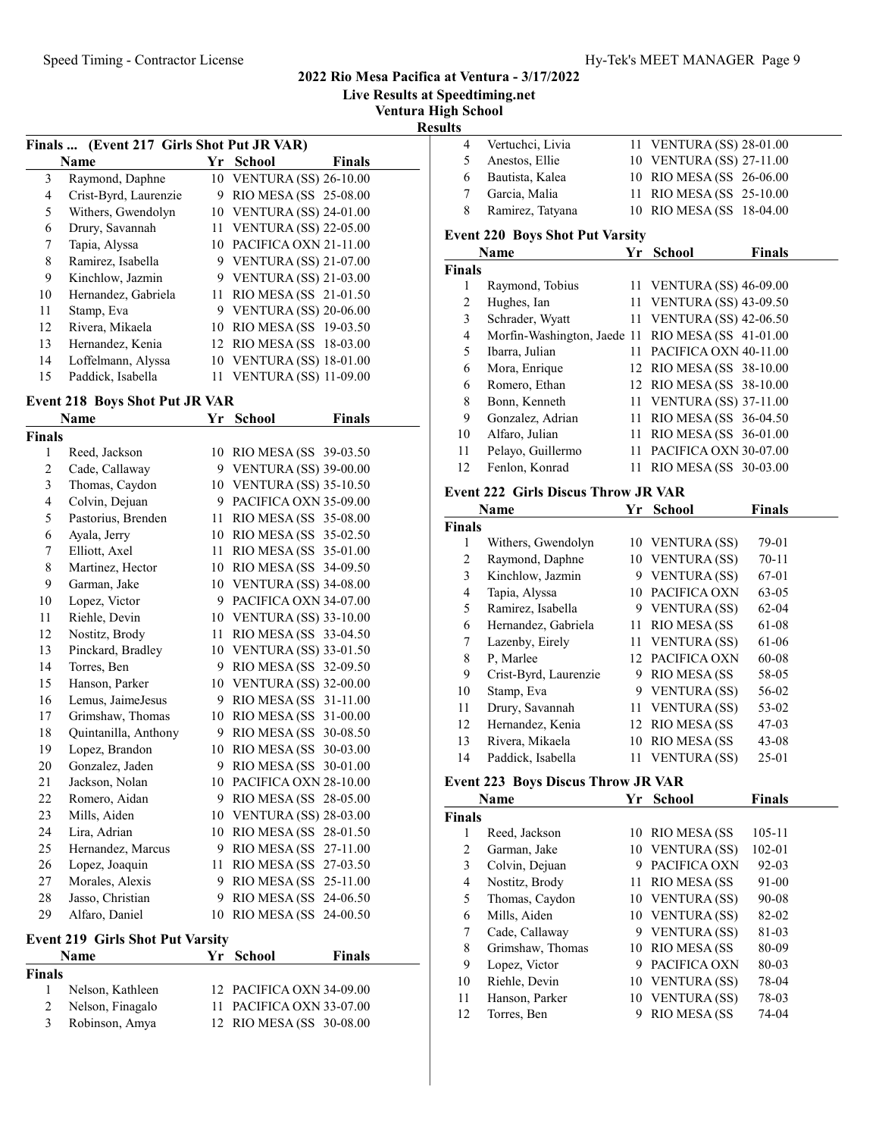Live Results at Speedtiming.net

Ventura High School

 $\frac{\text{Results}}{4}$ 

|    | Finals  (Event 217 Girls Shot Put JR VAR) |    |                              |               |
|----|-------------------------------------------|----|------------------------------|---------------|
|    | <b>Name</b>                               |    | Yr School                    | <b>Finals</b> |
| 3  | Raymond, Daphne                           |    | 10 VENTURA (SS) 26-10.00     |               |
| 4  | Crist-Byrd, Laurenzie                     | 9  | RIO MESA (SS 25-08.00        |               |
| 5  | Withers, Gwendolyn                        |    | 10 VENTURA (SS) 24-01.00     |               |
| 6  | Drury, Savannah                           |    | 11 VENTURA (SS) 22-05.00     |               |
| 7  | Tapia, Alyssa                             | 10 | PACIFICA OXN 21-11.00        |               |
| 8  | Ramirez, Isabella                         | 9  | <b>VENTURA (SS) 21-07.00</b> |               |
| 9  | Kinchlow, Jazmin                          | 9  | <b>VENTURA (SS) 21-03.00</b> |               |
| 10 | Hernandez, Gabriela                       |    | 11 RIO MESA (SS 21-01.50     |               |
| 11 | Stamp, Eva                                | 9  | <b>VENTURA (SS) 20-06.00</b> |               |
| 12 | Rivera, Mikaela                           | 10 | RIO MESA (SS 19-03.50        |               |
| 13 | Hernandez, Kenia                          |    | 12 RIO MESA (SS 18-03.00     |               |
| 14 | Loffelmann, Alyssa                        |    | 10 VENTURA (SS) 18-01.00     |               |
| 15 | Paddick, Isabella                         | 11 | <b>VENTURA (SS) 11-09.00</b> |               |
|    |                                           |    |                              |               |

# Event 218 Boys Shot Put JR VAR

|                | <b>Name</b>          | Yr | <b>School</b>                | <b>Finals</b> |
|----------------|----------------------|----|------------------------------|---------------|
| Finals         |                      |    |                              |               |
| 1              | Reed, Jackson        | 10 | RIO MESA (SS 39-03.50        |               |
| 2              | Cade, Callaway       |    | 9 VENTURA (SS) 39-00.00      |               |
| 3              | Thomas, Caydon       | 10 | <b>VENTURA (SS) 35-10.50</b> |               |
| $\overline{4}$ | Colvin, Dejuan       | 9  | PACIFICA OXN 35-09.00        |               |
| 5              | Pastorius, Brenden   | 11 | RIO MESA (SS 35-08.00        |               |
| 6              | Ayala, Jerry         | 10 | RIO MESA (SS 35-02.50        |               |
| 7              | Elliott, Axel        | 11 | RIO MESA (SS 35-01.00        |               |
| 8              | Martinez, Hector     | 10 | RIO MESA (SS 34-09.50        |               |
| 9              | Garman, Jake         | 10 | <b>VENTURA (SS) 34-08.00</b> |               |
| 10             | Lopez, Victor        | 9  | PACIFICA OXN 34-07.00        |               |
| 11             | Riehle, Devin        | 10 | <b>VENTURA (SS) 33-10.00</b> |               |
| 12             | Nostitz, Brody       | 11 | RIO MESA (SS 33-04.50        |               |
| 13             | Pinckard, Bradley    | 10 | <b>VENTURA (SS) 33-01.50</b> |               |
| 14             | Torres, Ben          | 9  | RIO MESA (SS 32-09.50        |               |
| 15             | Hanson, Parker       |    | 10 VENTURA (SS) 32-00.00     |               |
| 16             | Lemus, JaimeJesus    | 9  | RIO MESA (SS                 | 31-11.00      |
| 17             | Grimshaw, Thomas     | 10 | RIO MESA (SS 31-00.00        |               |
| 18             | Quintanilla, Anthony | 9  | RIO MESA (SS                 | 30-08.50      |
| 19             | Lopez, Brandon       | 10 | RIO MESA (SS                 | 30-03.00      |
| 20             | Gonzalez, Jaden      | 9  | RIO MESA (SS 30-01.00        |               |
| 21             | Jackson, Nolan       | 10 | PACIFICA OXN 28-10.00        |               |
| 22             | Romero, Aidan        | 9  | RIO MESA (SS                 | 28-05.00      |
| 23             | Mills, Aiden         | 10 | <b>VENTURA (SS) 28-03.00</b> |               |
| 24             | Lira, Adrian         | 10 | RIO MESA (SS                 | 28-01.50      |
| 25             | Hernandez, Marcus    | 9  | RIO MESA (SS                 | 27-11.00      |
| 26             | Lopez, Joaquin       | 11 | RIO MESA (SS                 | 27-03.50      |
| 27             | Morales, Alexis      | 9  | RIO MESA (SS                 | 25-11.00      |
| 28             | Jasso, Christian     | 9  | RIO MESA (SS                 | 24-06.50      |
| 29             | Alfaro, Daniel       | 10 | RIO MESA (SS                 | 24-00.50      |

# Event 219 Girls Shot Put Varsity

| Name          |                  | Yr School                | <b>Finals</b> |
|---------------|------------------|--------------------------|---------------|
| <b>Finals</b> |                  |                          |               |
| 1.            | Nelson, Kathleen | 12 PACIFICA OXN 34-09.00 |               |
| 2             | Nelson, Finagalo | 11 PACIFICA OXN 33-07.00 |               |
| 3             | Robinson, Amya   | 12 RIO MESA (SS 30-08.00 |               |

| 6                                          | Romero, Ethan                                            |    | 12 RIO MESA (SS 38-10.00            |                |
|--------------------------------------------|----------------------------------------------------------|----|-------------------------------------|----------------|
| 8                                          | Bonn, Kenneth                                            |    | 11 VENTURA (SS) 37-11.00            |                |
| 9                                          | Gonzalez, Adrian                                         | 11 | RIO MESA (SS 36-04.50               |                |
| $10\,$                                     | Alfaro, Julian                                           | 11 | RIO MESA (SS 36-01.00               |                |
| 11                                         | Pelayo, Guillermo                                        | 11 | PACIFICA OXN 30-07.00               |                |
| 12                                         | Fenlon, Konrad                                           | 11 | RIO MESA (SS 30-03.00               |                |
| <b>Event 222 Girls Discus Throw JR VAR</b> |                                                          |    |                                     |                |
|                                            |                                                          |    |                                     |                |
|                                            |                                                          |    |                                     |                |
|                                            | Name                                                     |    | Yr School                           | <b>Finals</b>  |
| 1                                          |                                                          |    |                                     |                |
|                                            | Withers, Gwendolyn                                       |    | 10 VENTURA (SS)                     | 79-01          |
| $\sqrt{2}$                                 | Raymond, Daphne                                          |    | 10 VENTURA (SS)                     | 70-11          |
| 3                                          | Kinchlow, Jazmin                                         |    | 9 VENTURA (SS)                      | 67-01          |
| $\overline{4}$                             | Tapia, Alyssa                                            |    | 10 PACIFICA OXN                     | 63-05          |
| 5                                          | Ramirez, Isabella                                        |    | 9 VENTURA (SS)                      | 62-04          |
| $\sqrt{6}$                                 | Hernandez, Gabriela                                      |    | 11 RIO MESA (SS                     | 61-08          |
| $\boldsymbol{7}$                           | Lazenby, Eirely                                          |    | 11 VENTURA (SS)                     | 61-06          |
| Finals<br>8                                | P, Marlee                                                |    | 12 PACIFICA OXN                     | 60-08          |
| 9                                          | Crist-Byrd, Laurenzie                                    | 9  | <b>RIO MESA (SS</b>                 | 58-05          |
| 10                                         | Stamp, Eva                                               |    | 9 VENTURA (SS)                      | 56-02          |
| 11                                         | Drury, Savannah                                          |    | 11 VENTURA (SS)                     | 53-02          |
| 12                                         | Hernandez, Kenia                                         |    | 12 RIO MESA (SS                     | $47 - 03$      |
| 13                                         | Rivera, Mikaela                                          | 10 |                                     |                |
| 14                                         | Paddick, Isabella                                        | 11 | RIO MESA (SS<br><b>VENTURA (SS)</b> | 43-08<br>25-01 |
|                                            |                                                          |    |                                     |                |
|                                            | <b>Event 223 Boys Discus Throw JR VAR</b><br><b>Name</b> | Yr | <b>School</b>                       | <b>Finals</b>  |

| ∛inals |                  |    |                 |            |  |
|--------|------------------|----|-----------------|------------|--|
|        | Reed, Jackson    |    | 10 RIO MESA (SS | $105 - 11$ |  |
| 2      | Garman, Jake     |    | 10 VENTURA (SS) | $102 - 01$ |  |
| 3      | Colvin, Dejuan   | 9  | PACIFICA OXN    | $92 - 03$  |  |
| 4      | Nostitz, Brody   |    | 11 RIO MESA (SS | 91-00      |  |
| 5      | Thomas, Caydon   |    | 10 VENTURA (SS) | 90-08      |  |
| 6      | Mills, Aiden     |    | 10 VENTURA (SS) | 82-02      |  |
| 7      | Cade, Callaway   | 9. | VENTURA (SS)    | 81-03      |  |
| 8      | Grimshaw, Thomas |    | 10 RIO MESA (SS | 80-09      |  |
| 9      | Lopez, Victor    | 9  | PACIFICA OXN    | 80-03      |  |
| 10     | Riehle, Devin    |    | 10 VENTURA (SS) | 78-04      |  |
| 11     | Hanson, Parker   |    | 10 VENTURA (SS) | 78-03      |  |
| 12     | Torres, Ben      | 9  | RIO MESA (SS    | 74-04      |  |